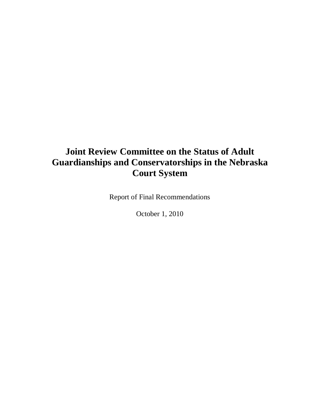# **Joint Review Committee on the Status of Adult Guardianships and Conservatorships in the Nebraska Court System**

Report of Final Recommendations

October 1, 2010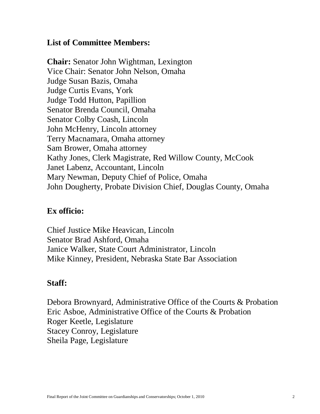## **List of Committee Members:**

**Chair:** Senator John Wightman, Lexington Vice Chair: Senator John Nelson, Omaha Judge Susan Bazis, Omaha Judge Curtis Evans, York Judge Todd Hutton, Papillion Senator Brenda Council, Omaha Senator Colby Coash, Lincoln John McHenry, Lincoln attorney Terry Macnamara, Omaha attorney Sam Brower, Omaha attorney Kathy Jones, Clerk Magistrate, Red Willow County, McCook Janet Labenz, Accountant, Lincoln Mary Newman, Deputy Chief of Police, Omaha John Dougherty, Probate Division Chief, Douglas County, Omaha

## **Ex officio:**

Chief Justice Mike Heavican, Lincoln Senator Brad Ashford, Omaha Janice Walker, State Court Administrator, Lincoln Mike Kinney, President, Nebraska State Bar Association

## **Staff:**

Debora Brownyard, Administrative Office of the Courts & Probation Eric Asboe, Administrative Office of the Courts & Probation Roger Keetle, Legislature Stacey Conroy, Legislature Sheila Page, Legislature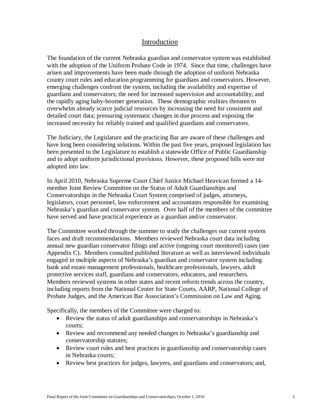## Introduction

The foundation of the current Nebraska guardian and conservator system was established with the adoption of the Uniform Probate Code in 1974. Since that time, challenges have arisen and improvements have been made through the adoption of uniform Nebraska county court rules and education programming for guardians and conservators. However, emerging challenges confront the system, including the availability and expertise of guardians and conservators; the need for increased supervision and accountability; and the rapidly aging baby-boomer generation. These demographic realities threaten to overwhelm already scarce judicial resources by increasing the need for consistent and detailed court data; pressuring systematic changes in due process and exposing the increased necessity for reliably trained and qualified guardians and conservators.

The Judiciary, the Legislature and the practicing Bar are aware of these challenges and have long been considering solutions. Within the past five years, proposed legislation has been presented to the Legislature to establish a statewide Office of Public Guardianship and to adopt uniform jurisdictional provisions. However, these proposed bills were not adopted into law.

In April 2010, Nebraska Supreme Court Chief Justice Michael Heavican formed a 14 member Joint Review Committee on the Status of Adult Guardianships and Conservatorships in the Nebraska Court System comprised of judges, attorneys, legislators, court personnel, law enforcement and accountants responsible for examining Nebraska's guardian and conservator system. Over half of the members of the committee have served and have practical experience as a guardian and/or conservator.

The Committee worked through the summer to study the challenges our current system faces and draft recommendations. Members reviewed Nebraska court data including annual new guardian conservator filings and active (ongoing court monitored) cases (see Appendix C). Members consulted published literature as well as interviewed individuals engaged in multiple aspects of Nebraska's guardian and conservator system including bank and estate management professionals, healthcare professionals, lawyers, adult protective services staff, guardians and conservators, educators, and researchers. Members reviewed systems in other states and recent reform trends across the country, including reports from the National Center for State Courts, AARP, National College of Probate Judges, and the American Bar Association's Commission on Law and Aging.

Specifically, the members of the Committee were charged to:

- Review the status of adult guardianships and conservatorships in Nebraska's courts;
- Review and recommend any needed changes to Nebraska's guardianship and conservatorship statutes;
- Review court rules and best practices in guardianship and conservatorship cases in Nebraska courts;
- Review best practices for judges, lawyers, and guardians and conservators; and,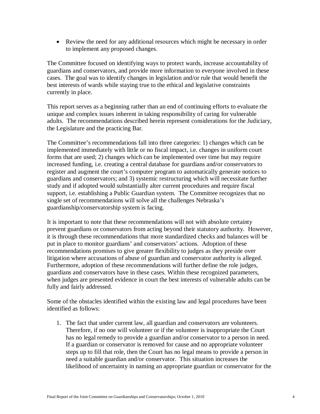Review the need for any additional resources which might be necessary in order to implement any proposed changes.

The Committee focused on identifying ways to protect wards, increase accountability of guardians and conservators, and provide more information to everyone involved in these cases. The goal was to identify changes in legislation and/or rule that would benefit the best interests of wards while staying true to the ethical and legislative constraints currently in place.

This report serves as a beginning rather than an end of continuing efforts to evaluate the unique and complex issues inherent in taking responsibility of caring for vulnerable adults. The recommendations described herein represent considerations for the Judiciary, the Legislature and the practicing Bar.

The Committee's recommendations fall into three categories: 1) changes which can be implemented immediately with little or no fiscal impact, i.e. changes in uniform court forms that are used; 2) changes which can be implemented over time but may require increased funding, i.e. creating a central database for guardians and/or conservators to register and augment the court's computer program to automatically generate notices to guardians and conservators; and 3) systemic restructuring which will necessitate further study and if adopted would substantially alter current procedures and require fiscal support, i.e. establishing a Public Guardian system. The Committee recognizes that no single set of recommendations will solve all the challenges Nebraska's guardianship/conservatorship system is facing.

It is important to note that these recommendations will not with absolute certainty prevent guardians or conservators from acting beyond their statutory authority. However, it is through these recommendations that more standardized checks and balances will be put in place to monitor guardians' and conservators' actions. Adoption of these recommendations promises to give greater flexibility to judges as they preside over litigation where accusations of abuse of guardian and conservator authority is alleged. Furthermore, adoption of these recommendations will further define the role judges, guardians and conservators have in these cases. Within these recognized parameters, when judges are presented evidence in court the best interests of vulnerable adults can be fully and fairly addressed.

Some of the obstacles identified within the existing law and legal procedures have been identified as follows:

1. The fact that under current law, all guardian and conservators are volunteers. Therefore, if no one will volunteer or if the volunteer is inappropriate the Court has no legal remedy to provide a guardian and/or conservator to a person in need. If a guardian or conservator is removed for cause and no appropriate volunteer steps up to fill that role, then the Court has no legal means to provide a person in need a suitable guardian and/or conservator. This situation increases the likelihood of uncertainty in naming an appropriate guardian or conservator for the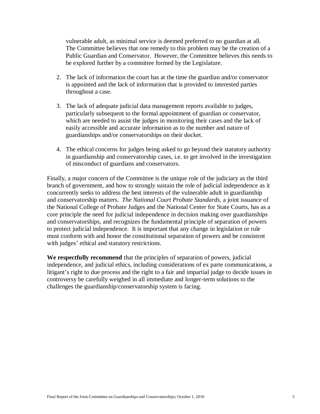vulnerable adult, as minimal service is deemed preferred to no guardian at all. The Committee believes that one remedy to this problem may be the creation of a Public Guardian and Conservator. However, the Committee believes this needs to be explored further by a committee formed by the Legislature.

- 2. The lack of information the court has at the time the guardian and/or conservator is appointed and the lack of information that is provided to interested parties throughout a case.
- 3. The lack of adequate judicial data management reports available to judges, particularly subsequent to the formal appointment of guardian or conservator, which are needed to assist the judges in monitoring their cases and the lack of easily accessible and accurate information as to the number and nature of guardianships and/or conservatorships on their docket.
- 4. The ethical concerns for judges being asked to go beyond their statutory authority in guardianship and conservatorship cases, i.e. to get involved in the investigation of misconduct of guardians and conservators.

Finally, a major concern of the Committee is the unique role of the judiciary as the third branch of government, and how to strongly sustain the role of judicial independence as it concurrently seeks to address the best interests of the vulnerable adult in guardianship and conservatorship matters. *The National Court Probate Standards*, a joint issuance of the National College of Probate Judges and the National Center for State Courts, has as a core principle the need for judicial independence in decision making over guardianships and conservatorships, and recognizes the fundamental principle of separation of powers to protect judicial independence. It is important that any change in legislation or rule must conform with and honor the constitutional separation of powers and be consistent with judges' ethical and statutory restrictions.

**We respectfully recommend** that the principles of separation of powers, judicial independence, and judicial ethics, including considerations of ex parte communications, a litigant's right to due process and the right to a fair and impartial judge to decide issues in controversy be carefully weighed in all immediate and longer-term solutions to the challenges the guardianship/conservatorship system is facing.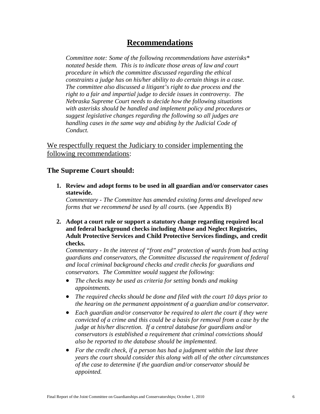## **Recommendations**

*Committee note: Some of the following recommendations have asterisks\* notated beside them. This is to indicate those areas of law and court procedure in which the committee discussed regarding the ethical constraints a judge has on his/her ability to do certain things in a case. The committee also discussed a litigant's right to due process and the right to a fair and impartial judge to decide issues in controversy. The Nebraska Supreme Court needs to decide how the following situations with asterisks should be handled and implement policy and procedures or suggest legislative changes regarding the following so all judges are handling cases in the same way and abiding by the Judicial Code of Conduct.*

We respectfully request the Judiciary to consider implementing the following recommendations:

## **The Supreme Court should:**

**1. Review and adopt forms to be used in all guardian and/or conservator cases statewide.** 

*Commentary - The Committee has amended existing forms and developed new forms that we recommend be used by all courts.* (see Appendix B)

**2. Adopt a court rule or support a statutory change regarding required local and federal background checks including Abuse and Neglect Registries, Adult Protective Services and Child Protective Services findings, and credit checks.** 

*Commentary - In the interest of "front end" protection of wards from bad acting guardians and conservators, the Committee discussed the requirement of federal and local criminal background checks and credit checks for guardians and conservators. The Committee would suggest the following:*

- *The checks may be used as criteria for setting bonds and making appointments.*
- *The required checks should be done and filed with the court 10 days prior to the hearing on the permanent appointment of a guardian and/or conservator.*
- *Each guardian and/or conservator be required to alert the court if they were convicted of a crime and this could be a basis for removal from a case by the judge at his/her discretion. If a central database for guardians and/or conservators is established a requirement that criminal convictions should also be reported to the database should be implemented.*
- *For the credit check, if a person has had a judgment within the last three years the court should consider this along with all of the other circumstances of the case to determine if the guardian and/or conservator should be appointed.*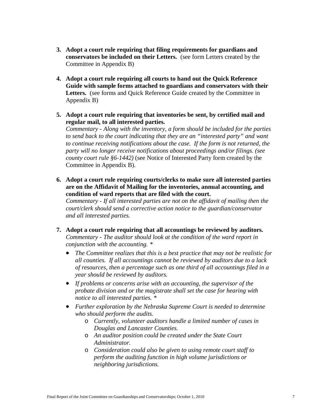- **3. Adopt a court rule requiring that filing requirements for guardians and conservators be included on their Letters.** (see form Letters created by the Committee in Appendix B)
- **4. Adopt a court rule requiring all courts to hand out the Quick Reference Guide with sample forms attached to guardians and conservators with their**  Letters. (see forms and Quick Reference Guide created by the Committee in Appendix B)
- **5. Adopt a court rule requiring that inventories be sent, by certified mail and regular mail, to all interested parties.**

*Commentary - Along with the inventory, a form should be included for the parties to send back to the court indicating that they are an "interested party" and want to continue receiving notifications about the case. If the form is not returned, the party will no longer receive notifications about proceedings and/or filings. (see county court rule §6-1442)* (see Notice of Interested Party form created by the Committee in Appendix B).

**6. Adopt a court rule requiring courts/clerks to make sure all interested parties are on the Affidavit of Mailing for the inventories, annual accounting, and condition of ward reports that are filed with the court.**

*Commentary - If all interested parties are not on the affidavit of mailing then the court/clerk should send a corrective action notice to the guardian/conservator and all interested parties.*

- **7. Adopt a court rule requiring that all accountings be reviewed by auditors.**  *Commentary - The auditor should look at the condition of the ward report in conjunction with the accounting. \**
	- *The Committee realizes that this is a best practice that may not be realistic for all counties. If all accountings cannot be reviewed by auditors due to a lack of resources, then a percentage such as one third of all accountings filed in a year should be reviewed by auditors.*
	- *If problems or concerns arise with an accounting, the supervisor of the probate division and or the magistrate shall set the case for hearing with notice to all interested parties. \**
	- *Further exploration by the Nebraska Supreme Court is needed to determine who should perform the audits.*
		- o *Currently, volunteer auditors handle a limited number of cases in Douglas and Lancaster Counties.*
		- o *An auditor position could be created under the State Court Administrator.*
		- o *Consideration could also be given to using remote court staff to perform the auditing function in high volume jurisdictions or neighboring jurisdictions.*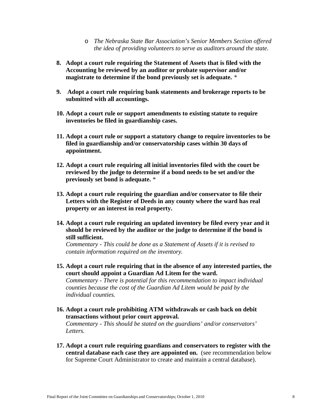- o *The Nebraska State Bar Association's Senior Members Section offered the idea of providing volunteers to serve as auditors around the state.*
- **8. Adopt a court rule requiring the Statement of Assets that is filed with the Accounting be reviewed by an auditor or probate supervisor and/or magistrate to determine if the bond previously set is adequate.** *\**
- **9. Adopt a court rule requiring bank statements and brokerage reports to be submitted with all accountings.**
- **10. Adopt a court rule or support amendments to existing statute to require inventories be filed in guardianship cases.**
- **11. Adopt a court rule or support a statutory change to require inventories to be filed in guardianship and/or conservatorship cases within 30 days of appointment.**
- **12. Adopt a court rule requiring all initial inventories filed with the court be reviewed by the judge to determine if a bond needs to be set and/or the previously set bond is adequate.** \*
- **13. Adopt a court rule requiring the guardian and/or conservator to file their Letters with the Register of Deeds in any county where the ward has real property or an interest in real property.**
- **14. Adopt a court rule requiring an updated inventory be filed every year and it should be reviewed by the auditor or the judge to determine if the bond is still sufficient.**

*Commentary - This could be done as a Statement of Assets if it is revised to contain information required on the inventory.*

**15. Adopt a court rule requiring that in the absence of any interested parties, the court should appoint a Guardian Ad Litem for the ward.** 

*Commentary - There is potential for this recommendation to impact individual counties because the cost of the Guardian Ad Litem would be paid by the individual counties.*

- **16. Adopt a court rule prohibiting ATM withdrawals or cash back on debit transactions without prior court approval.**  *Commentary* - *This should be stated on the guardians' and/or conservators' Letters.*
- **17. Adopt a court rule requiring guardians and conservators to register with the central database each case they are appointed on.** (see recommendation below for Supreme Court Administrator to create and maintain a central database).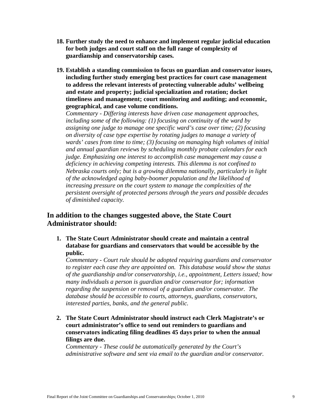- **18. Further study the need to enhance and implement regular judicial education for both judges and court staff on the full range of complexity of guardianship and conservatorship cases.**
- **19. Establish a standing commission to focus on guardian and conservator issues, including further study emerging best practices for court case management to address the relevant interests of protecting vulnerable adults' wellbeing and estate and property; judicial specialization and rotation; docket timeliness and management; court monitoring and auditing; and economic, geographical, and case volume conditions.**

*Commentary - Differing interests have driven case management approaches, including some of the following: (1) focusing on continuity of the ward by assigning one judge to manage one specific ward's case over time; (2) focusing on diversity of case type expertise by rotating judges to manage a variety of wards' cases from time to time; (3) focusing on managing high volumes of initial and annual guardian reviews by scheduling monthly probate calendars for each judge. Emphasizing one interest to accomplish case management may cause a deficiency in achieving competing interests. This dilemma is not confined to Nebraska courts only; but is a growing dilemma nationally, particularly in light of the acknowledged aging baby-boomer population and the likelihood of increasing pressure on the court system to manage the complexities of the persistent oversight of protected persons through the years and possible decades of diminished capacity.* 

## **In addition to the changes suggested above, the State Court Administrator should:**

**1. The State Court Administrator should create and maintain a central database for guardians and conservators that would be accessible by the public.** 

*Commentary - Court rule should be adopted requiring guardians and conservator to register each case they are appointed on. This database would show the status of the guardianship and/or conservatorship, i.e., appointment, Letters issued; how many individuals a person is guardian and/or conservator for; information regarding the suspension or removal of a guardian and/or conservator. The database should be accessible to courts, attorneys, guardians, conservators, interested parties, banks, and the general public.*

**2. The State Court Administrator should instruct each Clerk Magistrate's or court administrator's office to send out reminders to guardians and conservators indicating filing deadlines 45 days prior to when the annual filings are due.**

*Commentary - These could be automatically generated by the Court's administrative software and sent via email to the guardian and/or conservator.*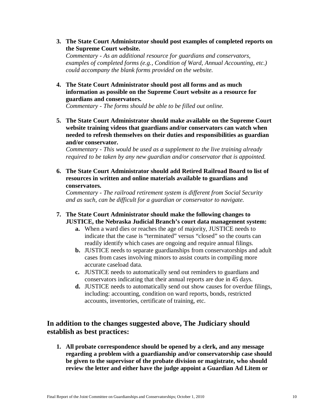**3. The State Court Administrator should post examples of completed reports on the Supreme Court website.**

*Commentary - As an additional resource for guardians and conservators, examples of completed forms (e.g., Condition of Ward, Annual Accounting, etc.) could accompany the blank forms provided on the website.*

**4. The State Court Administrator should post all forms and as much information as possible on the Supreme Court website as a resource for guardians and conservators.** 

*Commentary - The forms should be able to be filled out online.*

**5. The State Court Administrator should make available on the Supreme Court website training videos that guardians and/or conservators can watch when needed to refresh themselves on their duties and responsibilities as guardian and/or conservator.**

*Commentary - This would be used as a supplement to the live training already required to be taken by any new guardian and/or conservator that is appointed.*

**6. The State Court Administrator should add Retired Railroad Board to list of resources in written and online materials available to guardians and conservators.**

*Commentary - The railroad retirement system is different from Social Security and as such, can be difficult for a guardian or conservator to navigate.*

- **7. The State Court Administrator should make the following changes to JUSTICE, the Nebraska Judicial Branch's court data management system:**
	- **a.** When a ward dies or reaches the age of majority, JUSTICE needs to indicate that the case is "terminated" versus "closed" so the courts can readily identify which cases are ongoing and require annual filings.
	- **b.** JUSTICE needs to separate guardianships from conservatorships and adult cases from cases involving minors to assist courts in compiling more accurate caseload data.
	- **c.** JUSTICE needs to automatically send out reminders to guardians and conservators indicating that their annual reports are due in 45 days.
	- **d.** JUSTICE needs to automatically send out show causes for overdue filings, including: accounting, condition on ward reports, bonds, restricted accounts, inventories, certificate of training, etc.

## **In addition to the changes suggested above, The Judiciary should establish as best practices:**

**1. All probate correspondence should be opened by a clerk, and any message regarding a problem with a guardianship and/or conservatorship case should be given to the supervisor of the probate division or magistrate, who should review the letter and either have the judge appoint a Guardian Ad Litem or**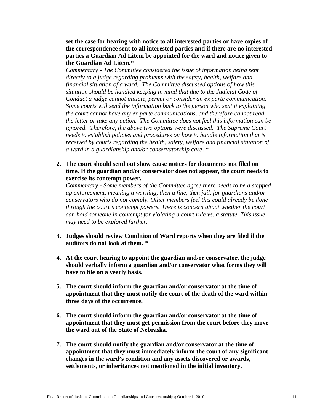**set the case for hearing with notice to all interested parties or have copies of the correspondence sent to all interested parties and if there are no interested parties a Guardian Ad Litem be appointed for the ward and notice given to the Guardian Ad Litem.\***

*Commentary - The Committee considered the issue of information being sent directly to a judge regarding problems with the safety, health, welfare and financial situation of a ward. The Committee discussed options of how this situation should be handled keeping in mind that due to the Judicial Code of Conduct a judge cannot initiate, permit or consider an ex parte communication. Some courts will send the information back to the person who sent it explaining the court cannot have any ex parte communications, and therefore cannot read the letter or take any action. The Committee does not feel this information can be ignored. Therefore, the above two options were discussed. The Supreme Court needs to establish policies and procedures on how to handle information that is received by courts regarding the health, safety, welfare and financial situation of a ward in a guardianship and/or conservatorship case*. \*

**2. The court should send out show cause notices for documents not filed on time. If the guardian and/or conservator does not appear, the court needs to exercise its contempt power.** 

*Commentary - Some members of the Committee agree there needs to be a stepped up enforcement, meaning a warning, then a fine, then jail, for guardians and/or conservators who do not comply. Other members feel this could already be done through the court's contempt powers. There is concern about whether the court can hold someone in contempt for violating a court rule vs. a statute. This issue may need to be explored further.*

- **3. Judges should review Condition of Ward reports when they are filed if the auditors do not look at them.** *\**
- **4. At the court hearing to appoint the guardian and/or conservator, the judge should verbally inform a guardian and/or conservator what forms they will have to file on a yearly basis.**
- **5. The court should inform the guardian and/or conservator at the time of appointment that they must notify the court of the death of the ward within three days of the occurrence.**
- **6. The court should inform the guardian and/or conservator at the time of appointment that they must get permission from the court before they move the ward out of the State of Nebraska.**
- **7. The court should notify the guardian and/or conservator at the time of appointment that they must immediately inform the court of any significant changes in the ward's condition and any assets discovered or awards, settlements, or inheritances not mentioned in the initial inventory.**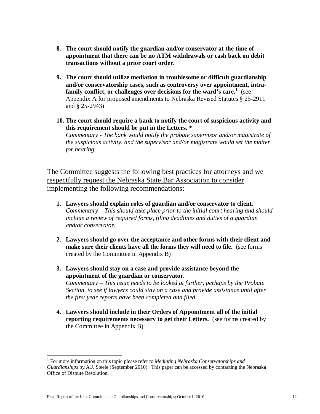- **8. The court should notify the guardian and/or conservator at the time of appointment that there can be no ATM withdrawals or cash back on debit transactions without a prior court order.**
- **9. The court should utilize mediation in troublesome or difficult guardianship and/or conservatorship cases, such as controversy over appointment, intrafamily conflict, or challenges over decisions for the ward's care.<sup>1</sup>** (see Appendix A for proposed amendments to Nebraska Revised Statutes § 25-2911 and § 25-2943)
- **10. The court should require a bank to notify the court of suspicious activity and this requirement should be put in the Letters.** \* *Commentary - The bank would notify the probate supervisor and/or magistrate of the suspicious activity, and the supervisor and/or magistrate would set the matter for hearing.*

The Committee suggests the following best practices for attorneys and we respectfully request the Nebraska State Bar Association to consider implementing the following recommendations:

- **1. Lawyers should explain roles of guardian and/or conservator to client.** *Commentary – This should take place prior to the initial court hearing and should include a review of required forms, filing deadlines and duties of a guardian and/or conservator.*
- **2. Lawyers should go over the acceptance and other forms with their client and make sure their clients have all the forms they will need to file.** (see forms created by the Committee in Appendix B)
- **3. Lawyers should stay on a case and provide assistance beyond the appointment of the guardian or conservator.**  *Commentary – This issue needs to be looked at further, perhaps by the Probate Section, to see if lawyers could stay on a case and provide assistance until after the first year reports have been completed and filed.*
- **4. Lawyers should include in their Orders of Appointment all of the initial reporting requirements necessary to get their Letters.** (see forms created by the Committee in Appendix B)

 $\overline{a}$ 

<sup>1</sup> For more information on this topic please refer to *Mediating Nebraska Conservatorships and Guardianships* by A.J. Steele (September 2010). This paper can be accessed by contacting the Nebraska Office of Dispute Resolution.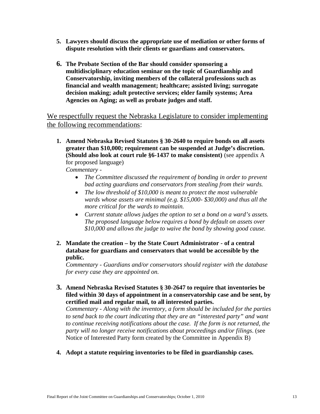- **5. Lawyers should discuss the appropriate use of mediation or other forms of dispute resolution with their clients or guardians and conservators.**
- **6. The Probate Section of the Bar should consider sponsoring a multidisciplinary education seminar on the topic of Guardianship and Conservatorship, inviting members of the collateral professions such as financial and wealth management; healthcare; assisted living; surrogate decision making; adult protective services; elder family systems; Area Agencies on Aging; as well as probate judges and staff.**

We respectfully request the Nebraska Legislature to consider implementing the following recommendations:

**1. Amend Nebraska Revised Statutes § 30-2640 to require bonds on all assets greater than \$10,000; requirement can be suspended at Judge's discretion. (Should also look at court rule §6-1437 to make consistent)** (see appendix A for proposed language)

*Commentary -*

- *The Committee discussed the requirement of bonding in order to prevent bad acting guardians and conservators from stealing from their wards.*
- *The low threshold of \$10,000 is meant to protect the most vulnerable wards whose assets are minimal (e.g. \$15,000- \$30,000) and thus all the more critical for the wards to maintain.*
- *Current statute allows judges the option to set a bond on a ward's assets. The proposed language below requires a bond by default on assets over \$10,000 and allows the judge to waive the bond by showing good cause.*
- **2. Mandate the creation – by the State Court Administrator - of a central database for guardians and conservators that would be accessible by the public.**

*Commentary - Guardians and/or conservators should register with the database for every case they are appointed on.*

**3. Amend Nebraska Revised Statutes § 30-2647 to require that inventories be filed within 30 days of appointment in a conservatorship case and be sent, by certified mail and regular mail, to all interested parties.**

*Commentary - Along with the inventory, a form should be included for the parties to send back to the court indicating that they are an "interested party" and want to continue receiving notifications about the case. If the form is not returned, the party will no longer receive notifications about proceedings and/or filings*. (see Notice of Interested Party form created by the Committee in Appendix B)

**4. Adopt a statute requiring inventories to be filed in guardianship cases.**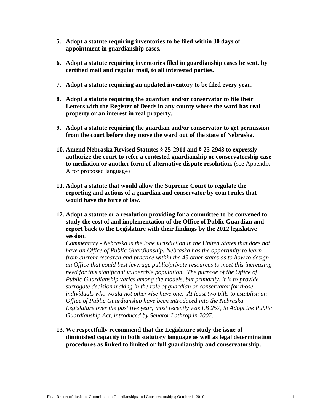- **5. Adopt a statute requiring inventories to be filed within 30 days of appointment in guardianship cases.**
- **6. Adopt a statute requiring inventories filed in guardianship cases be sent, by certified mail and regular mail, to all interested parties.**
- **7. Adopt a statute requiring an updated inventory to be filed every year.**
- **8. Adopt a statute requiring the guardian and/or conservator to file their Letters with the Register of Deeds in any county where the ward has real property or an interest in real property.**
- **9. Adopt a statute requiring the guardian and/or conservator to get permission from the court before they move the ward out of the state of Nebraska.**
- **10. Amend Nebraska Revised Statutes § 25-2911 and § 25-2943 to expressly authorize the court to refer a contested guardianship or conservatorship case to mediation or another form of alternative dispute resolution.** (see Appendix A for proposed language)
- **11. Adopt a statute that would allow the Supreme Court to regulate the reporting and actions of a guardian and conservator by court rules that would have the force of law.**
- **12. Adopt a statute or a resolution providing for a committee to be convened to study the cost of and implementation of the Office of Public Guardian and report back to the Legislature with their findings by the 2012 legislative session**.

*Commentary - Nebraska is the lone jurisdiction in the United States that does not have an Office of Public Guardianship. Nebraska has the opportunity to learn from current research and practice within the 49 other states as to how to design an Office that could best leverage public/private resources to meet this increasing need for this significant vulnerable population. The purpose of the Office of Public Guardianship varies among the models, but primarily, it is to provide surrogate decision making in the role of guardian or conservator for those individuals who would not otherwise have one. At least two bills to establish an Office of Public Guardianship have been introduced into the Nebraska Legislature over the past five year; most recently was LB 257, to Adopt the Public Guardianship Act, introduced by Senator Lathrop in 2007.*

**13. We respectfully recommend that the Legislature study the issue of diminished capacity in both statutory language as well as legal determination procedures as linked to limited or full guardianship and conservatorship.**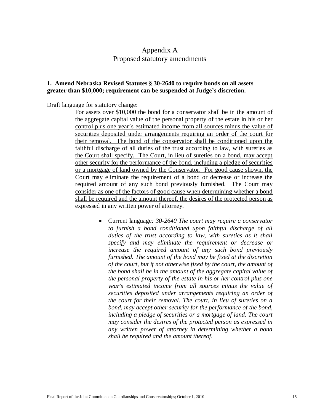## Appendix A Proposed statutory amendments

### **1. Amend Nebraska Revised Statutes § 30-2640 to require bonds on all assets greater than \$10,000; requirement can be suspended at Judge's discretion.**

Draft language for statutory change:

For assets over \$10,000 the bond for a conservator shall be in the amount of the aggregate capital value of the personal property of the estate in his or her control plus one year's estimated income from all sources minus the value of securities deposited under arrangements requiring an order of the court for their removal. The bond of the conservator shall be conditioned upon the faithful discharge of all duties of the trust according to law, with sureties as the Court shall specify. The Court, in lieu of sureties on a bond, may accept other security for the performance of the bond, including a pledge of securities or a mortgage of land owned by the Conservator. For good cause shown, the Court may eliminate the requirement of a bond or decrease or increase the required amount of any such bond previously furnished. The Court may consider as one of the factors of good cause when determining whether a bond shall be required and the amount thereof, the desires of the protected person as expressed in any written power of attorney.

> Current language*: 30-2640 The court may require a conservator to furnish a bond conditioned upon faithful discharge of all duties of the trust according to law, with sureties as it shall specify and may eliminate the requirement or decrease or increase the required amount of any such bond previously furnished. The amount of the bond may be fixed at the discretion of the court, but if not otherwise fixed by the court, the amount of the bond shall be in the amount of the aggregate capital value of the personal property of the estate in his or her control plus one year's estimated income from all sources minus the value of securities deposited under arrangements requiring an order of the court for their removal. The court, in lieu of sureties on a bond, may accept other security for the performance of the bond, including a pledge of securities or a mortgage of land. The court may consider the desires of the protected person as expressed in any written power of attorney in determining whether a bond shall be required and the amount thereof.*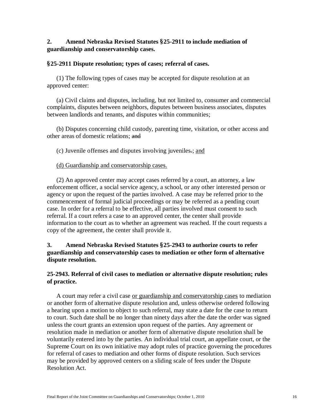## **2. Amend Nebraska Revised Statutes §25-2911 to include mediation of guardianship and conservatorship cases.**

#### **§25-2911 Dispute resolution; types of cases; referral of cases.**

(1) The following types of cases may be accepted for dispute resolution at an approved center:

(a) Civil claims and disputes, including, but not limited to, consumer and commercial complaints, disputes between neighbors, disputes between business associates, disputes between landlords and tenants, and disputes within communities;

(b) Disputes concerning child custody, parenting time, visitation, or other access and other areas of domestic relations; and

(c) Juvenile offenses and disputes involving juveniles.; and

#### (d) Guardianship and conservatorship cases.

(2) An approved center may accept cases referred by a court, an attorney, a law enforcement officer, a social service agency, a school, or any other interested person or agency or upon the request of the parties involved. A case may be referred prior to the commencement of formal judicial proceedings or may be referred as a pending court case. In order for a referral to be effective, all parties involved must consent to such referral. If a court refers a case to an approved center, the center shall provide information to the court as to whether an agreement was reached. If the court requests a copy of the agreement, the center shall provide it.

## **3. Amend Nebraska Revised Statutes §25-2943 to authorize courts to refer guardianship and conservatorship cases to mediation or other form of alternative dispute resolution.**

### **25-2943. Referral of civil cases to mediation or alternative dispute resolution; rules of practice.**

A court may refer a civil case or guardianship and conservatorship cases to mediation or another form of alternative dispute resolution and, unless otherwise ordered following a hearing upon a motion to object to such referral, may state a date for the case to return to court. Such date shall be no longer than ninety days after the date the order was signed unless the court grants an extension upon request of the parties. Any agreement or resolution made in mediation or another form of alternative dispute resolution shall be voluntarily entered into by the parties. An individual trial court, an appellate court, or the Supreme Court on its own initiative may adopt rules of practice governing the procedures for referral of cases to mediation and other forms of dispute resolution. Such services may be provided by approved centers on a sliding scale of fees under the Dispute Resolution Act.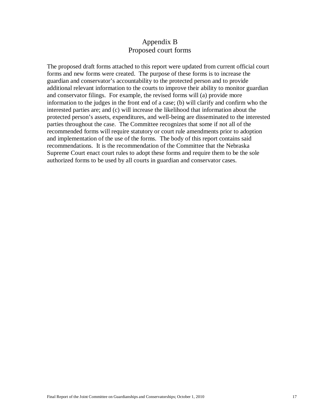## Appendix B Proposed court forms

The proposed draft forms attached to this report were updated from current official court forms and new forms were created. The purpose of these forms is to increase the guardian and conservator's accountability to the protected person and to provide additional relevant information to the courts to improve their ability to monitor guardian and conservator filings. For example, the revised forms will (a) provide more information to the judges in the front end of a case; (b) will clarify and confirm who the interested parties are; and (c) will increase the likelihood that information about the protected person's assets, expenditures, and well-being are disseminated to the interested parties throughout the case. The Committee recognizes that some if not all of the recommended forms will require statutory or court rule amendments prior to adoption and implementation of the use of the forms. The body of this report contains said recommendations. It is the recommendation of the Committee that the Nebraska Supreme Court enact court rules to adopt these forms and require them to be the sole authorized forms to be used by all courts in guardian and conservator cases.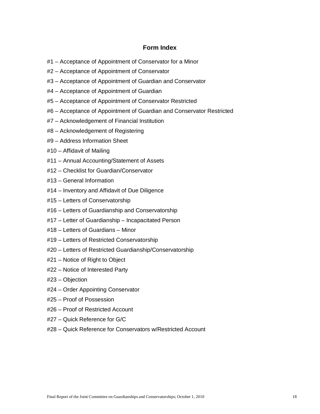### **Form Index**

- #1 Acceptance of Appointment of Conservator for a Minor
- #2 Acceptance of Appointment of Conservator
- #3 Acceptance of Appointment of Guardian and Conservator
- #4 Acceptance of Appointment of Guardian
- #5 Acceptance of Appointment of Conservator Restricted
- #6 Acceptance of Appointment of Guardian and Conservator Restricted
- #7 Acknowledgement of Financial Institution
- #8 Acknowledgement of Registering
- #9 Address Information Sheet
- #10 Affidavit of Mailing
- #11 Annual Accounting/Statement of Assets
- #12 Checklist for Guardian/Conservator
- #13 General Information
- #14 Inventory and Affidavit of Due Diligence
- #15 Letters of Conservatorship
- #16 Letters of Guardianship and Conservatorship
- #17 Letter of Guardianship Incapacitated Person
- #18 Letters of Guardians Minor
- #19 Letters of Restricted Conservatorship
- #20 Letters of Restricted Guardianship/Conservatorship
- #21 Notice of Right to Object
- #22 Notice of Interested Party
- #23 Objection
- #24 Order Appointing Conservator
- #25 Proof of Possession
- #26 Proof of Restricted Account
- #27 Quick Reference for G/C
- #28 Quick Reference for Conservators w/Restricted Account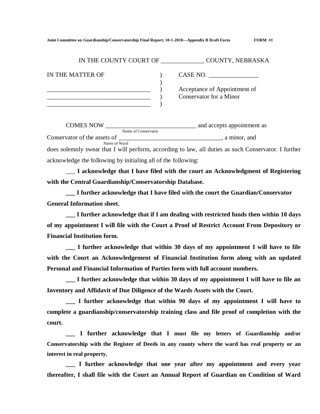| IN THE COUNTY COURT OF | COUNTY, NEBRASKA                                        |
|------------------------|---------------------------------------------------------|
| IN THE MATTER OF       | CASE NO.                                                |
|                        | Acceptance of Appointment of<br>Conservator for a Minor |

<u>Comes</u> and accepts appointment as COMES NOW Name of Conservator Conservator of the assets of \_\_\_\_\_\_\_\_\_\_\_\_\_\_\_\_\_\_\_\_\_\_\_\_\_\_\_\_\_\_\_\_\_\_, a minor, and Name of Ward does solemnly swear that I will perform, according to law, all duties as such Conservator. I further acknowledge the following by initialing all of the following:

\_\_\_ **I acknowledge that I have filed with the court an Acknowledgment of Registering with the Central Guardianship/Conservatorship Database.**

**\_\_\_ I further acknowledge that I have filed with the court the Guardian/Conservator General Information sheet.**

**\_\_\_ I further acknowledge that if I am dealing with restricted funds then within 10 days of my appointment I will file with the Court a Proof of Restrict Account From Depository or Financial Institution form.**

**\_\_\_ I further acknowledge that within 30 days of my appointment I will have to file with the Court an Acknowledgement of Financial Institution form along with an updated Personal and Financial Information of Parties form with full account numbers.**

**\_\_\_ I further acknowledge that within 30 days of my appointment I will have to file an Inventory and Affidavit of Due Diligence of the Wards Assets with the Court.**

**\_\_\_ I further acknowledge that within 90 days of my appointment I will have to complete a guardianship/conservatorship training class and file proof of completion with the court.**

**\_\_\_ I further acknowledge that I must file my letters of Guardianship and/or Conservatorship with the Register of Deeds in any county where the ward has real property or an interest in real property.**

**\_\_\_ I further acknowledge that one year after my appointment and every year thereafter, I shall file with the Court an Annual Report of Guardian on Condition of Ward**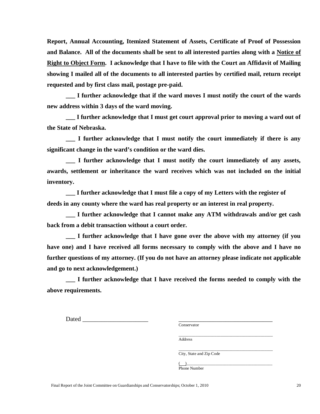**Report, Annual Accounting, Itemized Statement of Assets, Certificate of Proof of Possession and Balance. All of the documents shall be sent to all interested parties along with a Notice of Right to Object Form. I acknowledge that I have to file with the Court an Affidavit of Mailing showing I mailed all of the documents to all interested parties by certified mail, return receipt requested and by first class mail, postage pre-paid.**

**\_\_\_ I further acknowledge that if the ward moves I must notify the court of the wards new address within 3 days of the ward moving.**

**\_\_\_ I further acknowledge that I must get court approval prior to moving a ward out of the State of Nebraska.**

**\_\_\_ I further acknowledge that I must notify the court immediately if there is any significant change in the ward's condition or the ward dies.**

**\_\_\_ I further acknowledge that I must notify the court immediately of any assets, awards, settlement or inheritance the ward receives which was not included on the initial inventory.**

**\_\_\_ I further acknowledge that I must file a copy of my Letters with the register of deeds in any county where the ward has real property or an interest in real property.**

**\_\_\_ I further acknowledge that I cannot make any ATM withdrawals and/or get cash back from a debit transaction without a court order.**

**\_\_\_ I further acknowledge that I have gone over the above with my attorney (if you have one) and I have received all forms necessary to comply with the above and I have no further questions of my attorney. (If you do not have an attorney please indicate not applicable and go to next acknowledgement.)** 

**\_\_\_ I further acknowledge that I have received the forms needed to comply with the above requirements.**

Dated  $\Box$ 

Conservator

\_\_\_\_\_\_\_\_\_\_\_\_\_\_\_\_\_\_\_\_\_\_\_\_\_\_\_\_\_\_\_\_\_\_\_\_\_\_\_\_\_\_\_\_\_ Address

\_\_\_\_\_\_\_\_\_\_\_\_\_\_\_\_\_\_\_\_\_\_\_\_\_\_\_\_\_\_\_\_\_\_\_\_\_\_\_\_\_\_\_\_\_ City, State and Zip Code

( )\_\_\_\_\_\_\_\_\_\_\_\_\_\_\_\_\_\_\_\_\_\_\_\_\_\_\_\_\_\_\_\_\_\_\_\_\_\_\_\_\_ Phone Number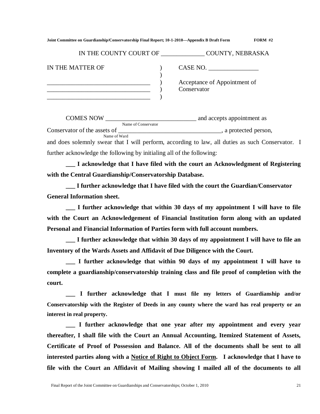|  | Joint Committee on Guardianship/Conservatorship Final Report; 10-1-2010—Appendix B Draft Form | <b>FORM #2</b> |
|--|-----------------------------------------------------------------------------------------------|----------------|
|--|-----------------------------------------------------------------------------------------------|----------------|

| IN THE COUNTY COURT OF |  | COUNTY, NEBRASKA                            |
|------------------------|--|---------------------------------------------|
| IN THE MATTER OF       |  | CASE NO.                                    |
|                        |  | Acceptance of Appointment of<br>Conservator |
|                        |  |                                             |

COMES NOW \_\_\_\_\_\_\_\_\_\_\_\_\_\_\_\_\_\_\_\_\_\_\_\_\_\_\_\_\_ and accepts appointment as Name of Conservator Conservator of the assets of  $\blacksquare$ Name of Ward and does solemnly swear that I will perform, according to law, all duties as such Conservator. I further acknowledge the following by initialing all of the following:

**\_\_\_ I acknowledge that I have filed with the court an Acknowledgment of Registering with the Central Guardianship/Conservatorship Database.**

**\_\_\_ I further acknowledge that I have filed with the court the Guardian/Conservator General Information sheet.** 

**\_\_\_ I further acknowledge that within 30 days of my appointment I will have to file with the Court an Acknowledgement of Financial Institution form along with an updated Personal and Financial Information of Parties form with full account numbers.**

**\_\_\_ I further acknowledge that within 30 days of my appointment I will have to file an Inventory of the Wards Assets and Affidavit of Due Diligence with the Court.**

**\_\_\_ I further acknowledge that within 90 days of my appointment I will have to complete a guardianship/conservatorship training class and file proof of completion with the court.**

**\_\_\_ I further acknowledge that I must file my letters of Guardianship and/or Conservatorship with the Register of Deeds in any county where the ward has real property or an interest in real property.**

**\_\_\_ I further acknowledge that one year after my appointment and every year thereafter, I shall file with the Court an Annual Accounting, Itemized Statement of Assets, Certificate of Proof of Possession and Balance. All of the documents shall be sent to all interested parties along with a Notice of Right to Object Form. I acknowledge that I have to file with the Court an Affidavit of Mailing showing I mailed all of the documents to all**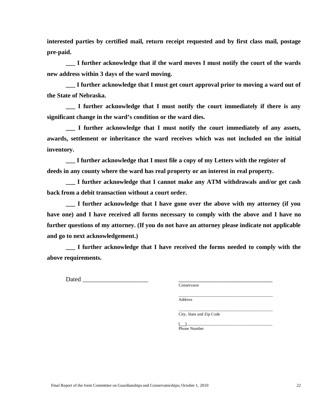**interested parties by certified mail, return receipt requested and by first class mail, postage pre-paid.**

**\_\_\_ I further acknowledge that if the ward moves I must notify the court of the wards new address within 3 days of the ward moving.**

**\_\_\_ I further acknowledge that I must get court approval prior to moving a ward out of the State of Nebraska.**

**\_\_\_ I further acknowledge that I must notify the court immediately if there is any significant change in the ward's condition or the ward dies.**

**\_\_\_ I further acknowledge that I must notify the court immediately of any assets, awards, settlement or inheritance the ward receives which was not included on the initial inventory.**

**\_\_\_ I further acknowledge that I must file a copy of my Letters with the register of deeds in any county where the ward has real property or an interest in real property.**

**\_\_\_ I further acknowledge that I cannot make any ATM withdrawals and/or get cash back from a debit transaction without a court order.**

**\_\_\_ I further acknowledge that I have gone over the above with my attorney (if you have one) and I have received all forms necessary to comply with the above and I have no further questions of my attorney. (If you do not have an attorney please indicate not applicable and go to next acknowledgement.)** 

**\_\_\_ I further acknowledge that I have received the forms needed to comply with the above requirements.**

Dated  $\Box$ 

Conservator

\_\_\_\_\_\_\_\_\_\_\_\_\_\_\_\_\_\_\_\_\_\_\_\_\_\_\_\_\_\_\_\_\_\_\_\_\_\_\_\_\_\_\_\_\_ Address

City, State and Zip Code

\_\_\_\_\_\_\_\_\_\_\_\_\_\_\_\_\_\_\_\_\_\_\_\_\_\_\_\_\_\_\_\_\_\_\_\_\_\_\_\_\_\_\_\_\_

( )\_\_\_\_\_\_\_\_\_\_\_\_\_\_\_\_\_\_\_\_\_\_\_\_\_\_\_\_\_\_\_\_\_\_\_\_\_\_\_\_\_ Phone Number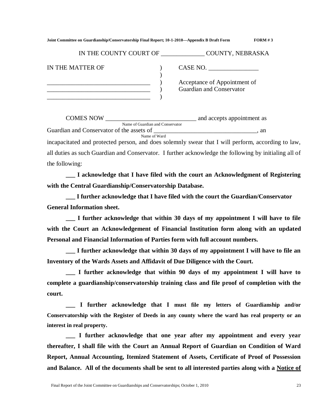| Joint Committee on Guardianship/Conservatorship Final Report; 10-1-2010—Appendix B Draft Form |  | FORM#3 |
|-----------------------------------------------------------------------------------------------|--|--------|
|                                                                                               |  |        |

| IN THE COUNTY COURT OF | <b>COUNTY, NEBRASKA</b>                                  |
|------------------------|----------------------------------------------------------|
| IN THE MATTER OF       | CASE NO.                                                 |
|                        | Acceptance of Appointment of<br>Guardian and Conservator |

COMES NOW \_\_\_\_\_\_\_\_\_\_\_\_\_\_\_\_\_\_\_\_\_\_\_\_\_\_\_\_\_ and accepts appointment as Name of Guardian and Conservator Guardian and Conservator of the assets of  $\qquad \qquad$  and  $\qquad$ Name of Ward incapacitated and protected person, and does solemnly swear that I will perform, according to law, all duties as such Guardian and Conservator. I further acknowledge the following by initialing all of the following:

**\_\_\_ I acknowledge that I have filed with the court an Acknowledgment of Registering with the Central Guardianship/Conservatorship Database.**

**\_\_\_ I further acknowledge that I have filed with the court the Guardian/Conservator General Information sheet.**

**\_\_\_ I further acknowledge that within 30 days of my appointment I will have to file with the Court an Acknowledgement of Financial Institution form along with an updated Personal and Financial Information of Parties form with full account numbers.**

**\_\_\_ I further acknowledge that within 30 days of my appointment I will have to file an Inventory of the Wards Assets and Affidavit of Due Diligence with the Court.**

**\_\_\_ I further acknowledge that within 90 days of my appointment I will have to complete a guardianship/conservatorship training class and file proof of completion with the court.**

**\_\_\_ I further acknowledge that I must file my letters of Guardianship and/or Conservatorship with the Register of Deeds in any county where the ward has real property or an interest in real property.**

**\_\_\_ I further acknowledge that one year after my appointment and every year thereafter, I shall file with the Court an Annual Report of Guardian on Condition of Ward Report, Annual Accounting, Itemized Statement of Assets, Certificate of Proof of Possession and Balance. All of the documents shall be sent to all interested parties along with a Notice of**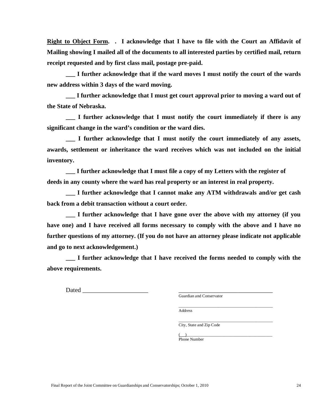**Right to Object Form. . I acknowledge that I have to file with the Court an Affidavit of Mailing showing I mailed all of the documents to all interested parties by certified mail, return receipt requested and by first class mail, postage pre-paid.**

**\_\_\_ I further acknowledge that if the ward moves I must notify the court of the wards new address within 3 days of the ward moving.**

**\_\_\_ I further acknowledge that I must get court approval prior to moving a ward out of the State of Nebraska.**

**\_\_\_ I further acknowledge that I must notify the court immediately if there is any significant change in the ward's condition or the ward dies.**

**\_\_\_ I further acknowledge that I must notify the court immediately of any assets, awards, settlement or inheritance the ward receives which was not included on the initial inventory.**

**\_\_\_ I further acknowledge that I must file a copy of my Letters with the register of deeds in any county where the ward has real property or an interest in real property.**

**\_\_\_ I further acknowledge that I cannot make any ATM withdrawals and/or get cash back from a debit transaction without a court order.**

**\_\_\_ I further acknowledge that I have gone over the above with my attorney (if you have one) and I have received all forms necessary to comply with the above and I have no further questions of my attorney. (If you do not have an attorney please indicate not applicable and go to next acknowledgement.)** 

**\_\_\_ I further acknowledge that I have received the forms needed to comply with the above requirements.**

Dated  $\Box$ 

Guardian and Conservator

\_\_\_\_\_\_\_\_\_\_\_\_\_\_\_\_\_\_\_\_\_\_\_\_\_\_\_\_\_\_\_\_\_\_\_\_\_\_\_\_\_\_\_\_\_

Address

\_\_\_\_\_\_\_\_\_\_\_\_\_\_\_\_\_\_\_\_\_\_\_\_\_\_\_\_\_\_\_\_\_\_\_\_\_\_\_\_\_\_\_\_\_ City, State and Zip Code

 $\overbrace{ }^{(+)}\overbrace{ }^{=}$ Phone Number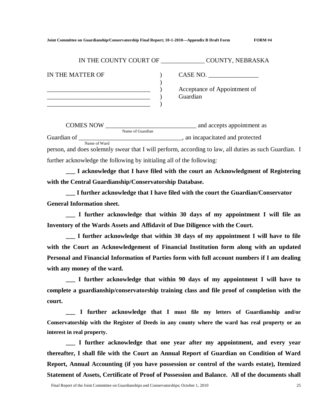| IN THE COUNTY COURT OF | <b>COUNTY, NEBRASKA</b>                  |
|------------------------|------------------------------------------|
| IN THE MATTER OF       | CASE NO.                                 |
|                        | Acceptance of Appointment of<br>Guardian |
|                        |                                          |

COMES NOW \_\_\_\_\_\_\_\_\_\_\_\_\_\_\_\_\_\_\_\_\_\_\_\_\_\_\_\_\_ and accepts appointment as Name of Guardian Guardian of \_\_\_\_\_\_\_\_\_\_\_\_\_\_\_\_\_\_\_\_\_\_\_\_\_\_\_\_\_\_\_\_\_, an incapacitated and protected Name of Ward person, and does solemnly swear that I will perform, according to law, all duties as such Guardian. I further acknowledge the following by initialing all of the following:

**\_\_\_ I acknowledge that I have filed with the court an Acknowledgment of Registering with the Central Guardianship/Conservatorship Database.**

**\_\_\_ I further acknowledge that I have filed with the court the Guardian/Conservator General Information sheet.** 

**\_\_\_ I further acknowledge that within 30 days of my appointment I will file an Inventory of the Wards Assets and Affidavit of Due Diligence with the Court.**

**\_\_\_ I further acknowledge that within 30 days of my appointment I will have to file with the Court an Acknowledgement of Financial Institution form along with an updated Personal and Financial Information of Parties form with full account numbers if I am dealing with any money of the ward.**

**\_\_\_ I further acknowledge that within 90 days of my appointment I will have to complete a guardianship/conservatorship training class and file proof of completion with the court.**

**\_\_\_ I further acknowledge that I must file my letters of Guardianship and/or Conservatorship with the Register of Deeds in any county where the ward has real property or an interest in real property.**

**\_\_\_ I further acknowledge that one year after my appointment, and every year thereafter, I shall file with the Court an Annual Report of Guardian on Condition of Ward Report, Annual Accounting (if you have possession or control of the wards estate), Itemized Statement of Assets, Certificate of Proof of Possession and Balance. All of the documents shall**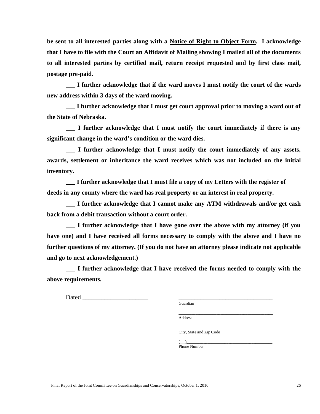**be sent to all interested parties along with a Notice of Right to Object Form. I acknowledge that I have to file with the Court an Affidavit of Mailing showing I mailed all of the documents to all interested parties by certified mail, return receipt requested and by first class mail, postage pre-paid.**

**\_\_\_ I further acknowledge that if the ward moves I must notify the court of the wards new address within 3 days of the ward moving.** 

**\_\_\_ I further acknowledge that I must get court approval prior to moving a ward out of the State of Nebraska.**

**\_\_\_ I further acknowledge that I must notify the court immediately if there is any significant change in the ward's condition or the ward dies.**

**\_\_\_ I further acknowledge that I must notify the court immediately of any assets, awards, settlement or inheritance the ward receives which was not included on the initial inventory.**

**\_\_\_ I further acknowledge that I must file a copy of my Letters with the register of deeds in any county where the ward has real property or an interest in real property.**

**\_\_\_ I further acknowledge that I cannot make any ATM withdrawals and/or get cash back from a debit transaction without a court order.**

**\_\_\_ I further acknowledge that I have gone over the above with my attorney (if you have one) and I have received all forms necessary to comply with the above and I have no further questions of my attorney. (If you do not have an attorney please indicate not applicable and go to next acknowledgement.)** 

**\_\_\_ I further acknowledge that I have received the forms needed to comply with the above requirements.**

Dated  $\Box$ 

Guardian

\_\_\_\_\_\_\_\_\_\_\_\_\_\_\_\_\_\_\_\_\_\_\_\_\_\_\_\_\_\_\_\_\_\_\_\_\_\_\_\_\_\_\_\_\_ Address

\_\_\_\_\_\_\_\_\_\_\_\_\_\_\_\_\_\_\_\_\_\_\_\_\_\_\_\_\_\_\_\_\_\_\_\_\_\_\_\_\_\_\_\_\_ City, State and Zip Code

( )\_\_\_\_\_\_\_\_\_\_\_\_\_\_\_\_\_\_\_\_\_\_\_\_\_\_\_\_\_\_\_\_\_\_\_\_\_\_\_\_\_ Phone Number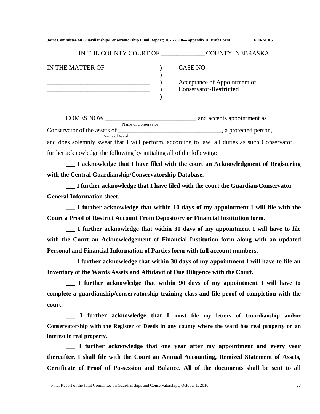| Joint Committee on Guardianship/Conservatorship Final Report; 10-1-2010—Appendix B Draft Form | FORM#5 |
|-----------------------------------------------------------------------------------------------|--------|
|                                                                                               |        |

| IN THE COUNTY COURT OF | <b>COUNTY, NEBRASKA</b>                                       |
|------------------------|---------------------------------------------------------------|
| IN THE MATTER OF       | CASE NO.                                                      |
|                        | Acceptance of Appointment of<br><b>Conservator-Restricted</b> |

COMES NOW \_\_\_\_\_\_\_\_\_\_\_\_\_\_\_\_\_\_\_\_\_\_\_\_\_\_\_\_\_ and accepts appointment as Name of Conservator Conservator of the assets of  $\blacksquare$ Name of Ward and does solemnly swear that I will perform, according to law, all duties as such Conservator. I

further acknowledge the following by initialing all of the following:

**\_\_\_ I acknowledge that I have filed with the court an Acknowledgment of Registering with the Central Guardianship/Conservatorship Database.**

**\_\_\_ I further acknowledge that I have filed with the court the Guardian/Conservator General Information sheet.**

**\_\_\_ I further acknowledge that within 10 days of my appointment I will file with the Court a Proof of Restrict Account From Depository or Financial Institution form.**

**\_\_\_ I further acknowledge that within 30 days of my appointment I will have to file with the Court an Acknowledgement of Financial Institution form along with an updated Personal and Financial Information of Parties form with full account numbers.**

**\_\_\_ I further acknowledge that within 30 days of my appointment I will have to file an Inventory of the Wards Assets and Affidavit of Due Diligence with the Court.**

**\_\_\_ I further acknowledge that within 90 days of my appointment I will have to complete a guardianship/conservatorship training class and file proof of completion with the court.**

**\_\_\_ I further acknowledge that I must file my letters of Guardianship and/or Conservatorship with the Register of Deeds in any county where the ward has real property or an interest in real property.**

**\_\_\_ I further acknowledge that one year after my appointment and every year thereafter, I shall file with the Court an Annual Accounting, Itemized Statement of Assets, Certificate of Proof of Possession and Balance. All of the documents shall be sent to all**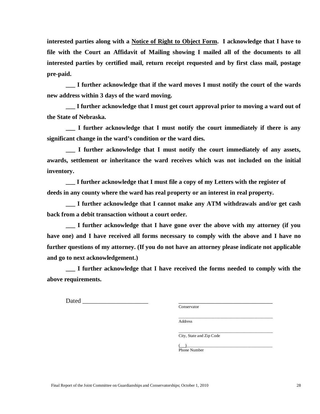**interested parties along with a Notice of Right to Object Form. I acknowledge that I have to file with the Court an Affidavit of Mailing showing I mailed all of the documents to all interested parties by certified mail, return receipt requested and by first class mail, postage pre-paid.**

**\_\_\_ I further acknowledge that if the ward moves I must notify the court of the wards new address within 3 days of the ward moving.**

**\_\_\_ I further acknowledge that I must get court approval prior to moving a ward out of the State of Nebraska.**

**\_\_\_ I further acknowledge that I must notify the court immediately if there is any significant change in the ward's condition or the ward dies.**

**\_\_\_ I further acknowledge that I must notify the court immediately of any assets, awards, settlement or inheritance the ward receives which was not included on the initial inventory.**

**\_\_\_ I further acknowledge that I must file a copy of my Letters with the register of deeds in any county where the ward has real property or an interest in real property.**

**\_\_\_ I further acknowledge that I cannot make any ATM withdrawals and/or get cash back from a debit transaction without a court order.**

**\_\_\_ I further acknowledge that I have gone over the above with my attorney (if you have one) and I have received all forms necessary to comply with the above and I have no further questions of my attorney. (If you do not have an attorney please indicate not applicable and go to next acknowledgement.)** 

**\_\_\_ I further acknowledge that I have received the forms needed to comply with the above requirements.**

Dated  $\Box$ 

Conservator

\_\_\_\_\_\_\_\_\_\_\_\_\_\_\_\_\_\_\_\_\_\_\_\_\_\_\_\_\_\_\_\_\_\_\_\_\_\_\_\_\_\_\_\_\_ Address

City, State and Zip Code

\_\_\_\_\_\_\_\_\_\_\_\_\_\_\_\_\_\_\_\_\_\_\_\_\_\_\_\_\_\_\_\_\_\_\_\_\_\_\_\_\_\_\_\_\_

 $\overbrace{ }^{(+)}\overbrace{ }^{=}$ Phone Number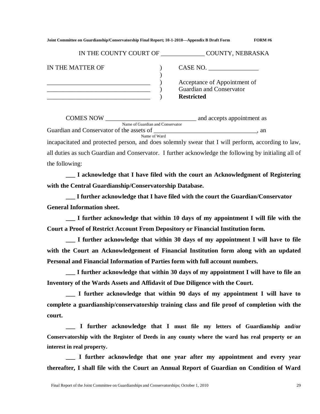| Joint Committee on Guardianship/Conservatorship Final Report; 10-1-2010—Appendix B Draft Form | <b>FORM #6</b> |
|-----------------------------------------------------------------------------------------------|----------------|
|                                                                                               |                |

| IN THE COUNTY COURT OF | <b>COUNTY, NEBRASKA</b>                                  |
|------------------------|----------------------------------------------------------|
| IN THE MATTER OF       | CASE NO.                                                 |
|                        | Acceptance of Appointment of<br>Guardian and Conservator |
|                        | <b>Restricted</b>                                        |

COMES NOW \_\_\_\_\_\_\_\_\_\_\_\_\_\_\_\_\_\_\_\_\_\_\_\_\_\_\_\_\_ and accepts appointment as Name of Guardian and Conservator Guardian and Conservator of the assets of  $\Box$ Name of Ward incapacitated and protected person, and does solemnly swear that I will perform, according to law, all duties as such Guardian and Conservator. I further acknowledge the following by initialing all of the following:

**\_\_\_ I acknowledge that I have filed with the court an Acknowledgment of Registering with the Central Guardianship/Conservatorship Database.**

**\_\_\_ I further acknowledge that I have filed with the court the Guardian/Conservator General Information sheet.**

**\_\_\_ I further acknowledge that within 10 days of my appointment I will file with the Court a Proof of Restrict Account From Depository or Financial Institution form.**

**\_\_\_ I further acknowledge that within 30 days of my appointment I will have to file with the Court an Acknowledgement of Financial Institution form along with an updated Personal and Financial Information of Parties form with full account numbers.**

**\_\_\_ I further acknowledge that within 30 days of my appointment I will have to file an Inventory of the Wards Assets and Affidavit of Due Diligence with the Court.**

**\_\_\_ I further acknowledge that within 90 days of my appointment I will have to complete a guardianship/conservatorship training class and file proof of completion with the court.**

**\_\_\_ I further acknowledge that I must file my letters of Guardianship and/or Conservatorship with the Register of Deeds in any county where the ward has real property or an interest in real property.**

**\_\_\_ I further acknowledge that one year after my appointment and every year thereafter, I shall file with the Court an Annual Report of Guardian on Condition of Ward**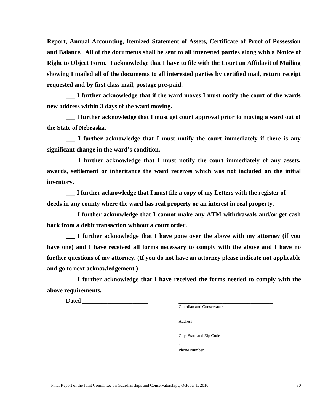**Report, Annual Accounting, Itemized Statement of Assets, Certificate of Proof of Possession and Balance. All of the documents shall be sent to all interested parties along with a Notice of Right to Object Form. I acknowledge that I have to file with the Court an Affidavit of Mailing showing I mailed all of the documents to all interested parties by certified mail, return receipt requested and by first class mail, postage pre-paid.**

**\_\_\_ I further acknowledge that if the ward moves I must notify the court of the wards new address within 3 days of the ward moving.**

**\_\_\_ I further acknowledge that I must get court approval prior to moving a ward out of the State of Nebraska.**

**\_\_\_ I further acknowledge that I must notify the court immediately if there is any significant change in the ward's condition.**

**\_\_\_ I further acknowledge that I must notify the court immediately of any assets, awards, settlement or inheritance the ward receives which was not included on the initial inventory.**

**\_\_\_ I further acknowledge that I must file a copy of my Letters with the register of deeds in any county where the ward has real property or an interest in real property.**

**\_\_\_ I further acknowledge that I cannot make any ATM withdrawals and/or get cash back from a debit transaction without a court order.**

**\_\_\_ I further acknowledge that I have gone over the above with my attorney (if you have one) and I have received all forms necessary to comply with the above and I have no further questions of my attorney. (If you do not have an attorney please indicate not applicable and go to next acknowledgement.)** 

**\_\_\_ I further acknowledge that I have received the forms needed to comply with the above requirements.** 

Dated **Later and Security**  $\Box$ 

Guardian and Conservator

\_\_\_\_\_\_\_\_\_\_\_\_\_\_\_\_\_\_\_\_\_\_\_\_\_\_\_\_\_\_\_\_\_\_\_\_\_\_\_\_\_\_\_\_\_ Address

City, State and Zip Code

\_\_\_\_\_\_\_\_\_\_\_\_\_\_\_\_\_\_\_\_\_\_\_\_\_\_\_\_\_\_\_\_\_\_\_\_\_\_\_\_\_\_\_\_\_

 $\overbrace{ }^{(+)}\overbrace{ }^{=}$ Phone Number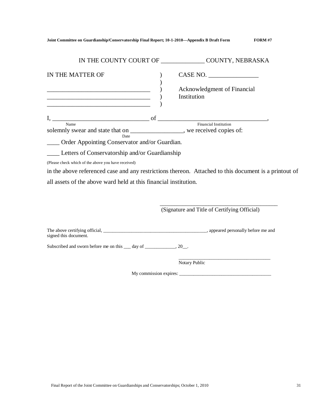| Joint Committee on Guardianship/Conservatorship Final Report; 10-1-2010—Appendix B Draft Form | <b>FORM #7</b> |
|-----------------------------------------------------------------------------------------------|----------------|
|                                                                                               |                |

| IN THE COUNTY COURT OF ________________ COUNTY, NEBRASKA                                                                                                                                                                                                                           |                                                        |
|------------------------------------------------------------------------------------------------------------------------------------------------------------------------------------------------------------------------------------------------------------------------------------|--------------------------------------------------------|
| IN THE MATTER OF<br><u> 2008 - 2008 - 2008 - 2008 - 2008 - 2008 - 2008 - 2008 - 2008 - 2008 - 2008 - 2008 - 2008 - 2008 - 2008 - 200</u><br><u> 2000 - 2000 - 2000 - 2000 - 2000 - 2000 - 2000 - 2000 - 2000 - 2000 - 2000 - 2000 - 2000 - 2000 - 2000 - 200</u>                   | CASE NO.<br>Acknowledgment of Financial<br>Institution |
| solemnly swear and state that on __________________, we received copies of:<br>Date<br>____ Order Appointing Conservator and/or Guardian.                                                                                                                                          |                                                        |
| Letters of Conservatorship and/or Guardianship<br>(Please check which of the above you have received)<br>in the above referenced case and any restrictions thereon. Attached to this document is a printout of<br>all assets of the above ward held at this financial institution. |                                                        |
|                                                                                                                                                                                                                                                                                    | (Signature and Title of Certifying Official)           |
| signed this document.                                                                                                                                                                                                                                                              |                                                        |
| Subscribed and sworn before me on this <u>quality day</u> of <u>quality and subscribed</u> and sworn before me on this <u>quality</u> day of <u>quality and</u>                                                                                                                    |                                                        |
|                                                                                                                                                                                                                                                                                    | Notary Public                                          |
|                                                                                                                                                                                                                                                                                    |                                                        |
|                                                                                                                                                                                                                                                                                    |                                                        |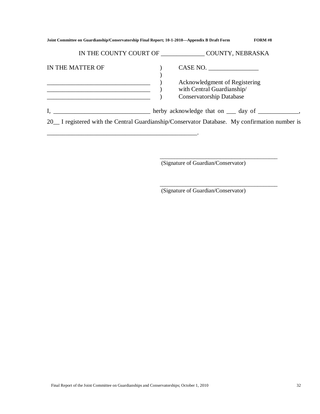| Joint Committee on Guardianship/Conservatorship Final Report; 10-1-2010—Appendix B Draft Form | <b>FORM #8</b>                                                                                             |
|-----------------------------------------------------------------------------------------------|------------------------------------------------------------------------------------------------------------|
|                                                                                               | IN THE COUNTY COURT OF COUNTY, NEBRASKA                                                                    |
| IN THE MATTER OF                                                                              | CASE NO.<br>Acknowledgment of Registering<br>with Central Guardianship/<br><b>Conservatorship Database</b> |
|                                                                                               |                                                                                                            |
|                                                                                               | 20 <sub>_</sub> I registered with the Central Guardianship/Conservator Database. My confirmation number is |

(Signature of Guardian/Conservator)

\_\_\_\_\_\_\_\_\_\_\_\_\_\_\_\_\_\_\_\_\_\_\_\_\_\_\_\_\_\_\_\_\_\_\_\_\_\_\_\_\_

\_\_\_\_\_\_\_\_\_\_\_\_\_\_\_\_\_\_\_\_\_\_\_\_\_\_\_\_\_\_\_\_\_\_\_\_\_\_\_\_\_

(Signature of Guardian/Conservator)

\_\_\_\_\_\_\_\_\_\_\_\_\_\_\_\_\_\_\_\_\_\_\_\_\_\_\_\_\_\_\_\_\_\_\_\_\_\_\_\_\_\_\_\_\_\_\_\_.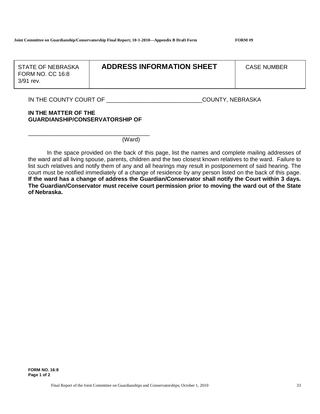FORM NO. CC 16:8  $\vert$ FORM NO. CC 16:8 3/91 rev. 3/91 rev.

## STATE OF NEBRASKA **ADDRESS INFORMATION SHEET CASE NUMBER**

IN THE COUNTY COURT OF \_\_\_\_\_\_\_\_\_\_\_\_\_\_\_\_\_\_\_\_\_\_\_\_\_\_\_\_\_\_\_\_\_\_COUNTY, NEBRASKA

#### **IN THE MATTER OF THE GUARDIANSHIP/CONSERVATORSHIP OF**

\_\_\_\_\_\_\_\_\_\_\_\_\_\_\_\_\_\_\_\_\_\_\_\_\_\_\_\_\_\_\_\_\_\_\_\_\_\_

(Ward)

In the space provided on the back of this page, list the names and complete mailing addresses of the ward and all living spouse, parents, children and the two closest known relatives to the ward. Failure to list such relatives and notify them of any and all hearings may result in postponement of said hearing. The court must be notified immediately of a change of residence by any person listed on the back of this page. **If the ward has a change of address the Guardian/Conservator shall notify the Court within 3 days. The Guardian/Conservator must receive court permission prior to moving the ward out of the State of Nebraska.**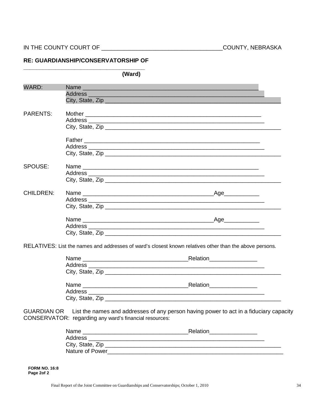### RE: GUARDIANSHIP/CONSERVATORSHIP OF

|                  | (Ward) |                                                                                                         |  |
|------------------|--------|---------------------------------------------------------------------------------------------------------|--|
| WARD:            |        | Name                                                                                                    |  |
|                  |        |                                                                                                         |  |
|                  |        | City, State, Zip                                                                                        |  |
| <b>PARENTS:</b>  |        |                                                                                                         |  |
|                  |        |                                                                                                         |  |
|                  |        |                                                                                                         |  |
|                  |        |                                                                                                         |  |
|                  |        |                                                                                                         |  |
|                  |        |                                                                                                         |  |
|                  |        |                                                                                                         |  |
| SPOUSE:          |        |                                                                                                         |  |
|                  |        |                                                                                                         |  |
|                  |        |                                                                                                         |  |
| <b>CHILDREN:</b> |        |                                                                                                         |  |
|                  |        |                                                                                                         |  |
|                  |        |                                                                                                         |  |
|                  |        |                                                                                                         |  |
|                  |        | _Age____________                                                                                        |  |
|                  |        |                                                                                                         |  |
|                  |        |                                                                                                         |  |
|                  |        | RELATIVES: List the names and addresses of ward's closest known relatives other than the above persons. |  |

| Name | Relation ______________    |
|------|----------------------------|
|      |                            |
|      |                            |
|      |                            |
|      | Relation <u>__________</u> |
|      |                            |
|      |                            |

GUARDIAN OR List the names and addresses of any person having power to act in a fiduciary capacity CONSERVATOR: regarding any ward's financial resources:

| Name                   | Relation |
|------------------------|----------|
| Address                |          |
| City, State, Zip       |          |
| <b>Nature of Power</b> |          |

**FORM NO. 16:8** Page 2of 2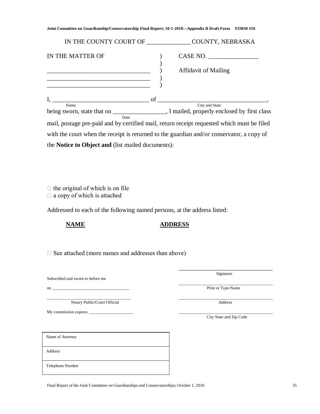| IN THE COUNTY COURT OF                                   | COUNTY, NEBRASKA                                                                                               |  |  |
|----------------------------------------------------------|----------------------------------------------------------------------------------------------------------------|--|--|
| IN THE MATTER OF                                         | $CASE NO. \_$                                                                                                  |  |  |
|                                                          | <b>Affidavit of Mailing</b>                                                                                    |  |  |
| $I,$ of                                                  |                                                                                                                |  |  |
| Name<br>Date                                             | City and State<br>being sworn, state that on _____________________, I mailed, properly enclosed by first class |  |  |
|                                                          | mail, postage pre-paid and by certified mail, return receipt requested which must be filed                     |  |  |
|                                                          | with the court when the receipt is returned to the guardian and/or conservator, a copy of                      |  |  |
| the <b>Notice to Object and</b> (list mailed documents): |                                                                                                                |  |  |

 $\Box$  the original of which is on file

 $\Box$  a copy of which is attached

Addressed to each of the following named persons, at the address listed:

## **NAME ADDRESS**

 $\square$  See attached (more names and addresses than above)

Subscribed and sworn to before me

\_\_\_\_\_\_\_\_\_\_\_\_\_\_\_\_\_\_\_\_\_\_\_\_\_\_\_\_\_\_\_\_\_\_\_\_\_\_\_\_ \_\_\_\_\_\_\_\_\_\_\_\_\_\_\_\_\_\_\_\_\_\_\_\_\_\_\_\_\_\_\_\_\_\_\_\_\_\_\_\_\_\_\_\_\_ Notary Public/Court Official Address

My commission expires:  $\overline{\phantom{a}}$ 

\_\_\_\_\_\_\_\_\_\_\_\_\_\_\_\_\_\_\_\_\_\_\_\_\_\_\_\_\_\_ Signature

\_\_\_\_\_\_\_\_\_\_\_\_\_\_\_\_\_\_\_\_\_\_\_\_\_\_\_\_\_\_\_\_\_\_\_\_\_\_\_\_\_\_\_\_\_ on \_\_\_\_\_\_\_\_\_\_\_\_\_\_\_\_\_\_\_\_\_\_\_\_\_\_\_\_\_\_\_\_\_\_\_\_\_ Print or Type Name

City State and Zip Code

Name of Attorney

Address

Telephone Number

Final Report of the Joint Committee on Guardianships and Conservatorships; October 1, 2010 35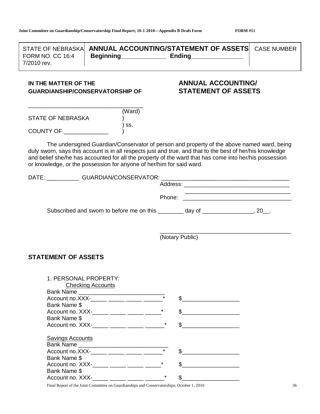| STATE OF NEBRASKAL                                                                                                                                                                                                                   | <b>ANNUAL ACCOUNTING/STATEMENT OF ASSETS CASE NUMBER</b>                                                                                                                                                                                                                                                                                                                                  |                 |                                                                                                                       |  |
|--------------------------------------------------------------------------------------------------------------------------------------------------------------------------------------------------------------------------------------|-------------------------------------------------------------------------------------------------------------------------------------------------------------------------------------------------------------------------------------------------------------------------------------------------------------------------------------------------------------------------------------------|-----------------|-----------------------------------------------------------------------------------------------------------------------|--|
| <b>FORM NO. CC 16:4</b><br>7/2010 rev.                                                                                                                                                                                               | Beginning Ending                                                                                                                                                                                                                                                                                                                                                                          |                 |                                                                                                                       |  |
|                                                                                                                                                                                                                                      |                                                                                                                                                                                                                                                                                                                                                                                           |                 |                                                                                                                       |  |
| IN THE MATTER OF THE                                                                                                                                                                                                                 | <b>GUARDIANSHIP/CONSERVATORSHIP OF</b>                                                                                                                                                                                                                                                                                                                                                    |                 | <b>ANNUAL ACCOUNTING/</b><br><b>STATEMENT OF ASSETS</b>                                                               |  |
|                                                                                                                                                                                                                                      |                                                                                                                                                                                                                                                                                                                                                                                           |                 |                                                                                                                       |  |
| <b>STATE OF NEBRASKA</b>                                                                                                                                                                                                             | (Ward)                                                                                                                                                                                                                                                                                                                                                                                    |                 |                                                                                                                       |  |
| <b>COUNTY OF THE COUNTY OF THE COUNTY OF THE COUNTY OF THE COUNTY OF THE COUNTY OF THE COUNTY OF THE COUNTY OF THE COUNTY OF THE COUNTY OF THE COUNTY OF THE COUNTY OF THE COUNTY OF THE COUNTY OF THE COUNTY OF THE COUNTY OF T</b> | SS.                                                                                                                                                                                                                                                                                                                                                                                       |                 |                                                                                                                       |  |
|                                                                                                                                                                                                                                      | The undersigned Guardian/Conservator of person and property of the above named ward, being<br>duly sworn, says this account is in all respects just and true, and that to the best of her/his knowledge<br>and belief she/he has accounted for all the property of the ward that has come into her/his possession<br>or knowledge, or the possession for anyone of her/him for said ward. |                 |                                                                                                                       |  |
|                                                                                                                                                                                                                                      |                                                                                                                                                                                                                                                                                                                                                                                           |                 |                                                                                                                       |  |
|                                                                                                                                                                                                                                      |                                                                                                                                                                                                                                                                                                                                                                                           |                 |                                                                                                                       |  |
|                                                                                                                                                                                                                                      |                                                                                                                                                                                                                                                                                                                                                                                           | Phone:          |                                                                                                                       |  |
|                                                                                                                                                                                                                                      | Subscribed and sworn to before me on this _______ day of ______________, 20_.                                                                                                                                                                                                                                                                                                             |                 |                                                                                                                       |  |
|                                                                                                                                                                                                                                      |                                                                                                                                                                                                                                                                                                                                                                                           | (Notary Public) |                                                                                                                       |  |
| <b>STATEMENT OF ASSETS</b>                                                                                                                                                                                                           |                                                                                                                                                                                                                                                                                                                                                                                           |                 |                                                                                                                       |  |
| 1. PERSONAL PROPERTY:                                                                                                                                                                                                                |                                                                                                                                                                                                                                                                                                                                                                                           |                 |                                                                                                                       |  |
|                                                                                                                                                                                                                                      | <b>Checking Accounts</b>                                                                                                                                                                                                                                                                                                                                                                  |                 |                                                                                                                       |  |
|                                                                                                                                                                                                                                      |                                                                                                                                                                                                                                                                                                                                                                                           |                 | $\frac{1}{2}$                                                                                                         |  |
| Bank Name \$                                                                                                                                                                                                                         |                                                                                                                                                                                                                                                                                                                                                                                           |                 |                                                                                                                       |  |
|                                                                                                                                                                                                                                      |                                                                                                                                                                                                                                                                                                                                                                                           |                 |                                                                                                                       |  |
| Bank Name \$                                                                                                                                                                                                                         |                                                                                                                                                                                                                                                                                                                                                                                           |                 |                                                                                                                       |  |
|                                                                                                                                                                                                                                      | Account no. XXX-_____ _____ _____ _____                                                                                                                                                                                                                                                                                                                                                   | \$              | <u> 1980 - Jan Barbara Barbara, prima prima prima prima prima prima prima prima prima prima prima prima prima pri</u> |  |
| <b>Savings Accounts</b>                                                                                                                                                                                                              |                                                                                                                                                                                                                                                                                                                                                                                           |                 |                                                                                                                       |  |
|                                                                                                                                                                                                                                      | Bank Name                                                                                                                                                                                                                                                                                                                                                                                 |                 |                                                                                                                       |  |
|                                                                                                                                                                                                                                      | Account no.XXX-_____ _____ _____ _____                                                                                                                                                                                                                                                                                                                                                    |                 |                                                                                                                       |  |
| Bank Name \$                                                                                                                                                                                                                         |                                                                                                                                                                                                                                                                                                                                                                                           |                 |                                                                                                                       |  |
|                                                                                                                                                                                                                                      | Account no. XXX-_____ _____ _____ _____                                                                                                                                                                                                                                                                                                                                                   | \$              |                                                                                                                       |  |

Final Report of the Joint Committee on Guardianships and Conservatorships; October 1, 2010 36

Account no. XXX-\_\_\_\_\_ \_\_\_\_\_ \_\_\_\_\_ \_\_\_\_\_\_\_\* \$\_

Bank Name \$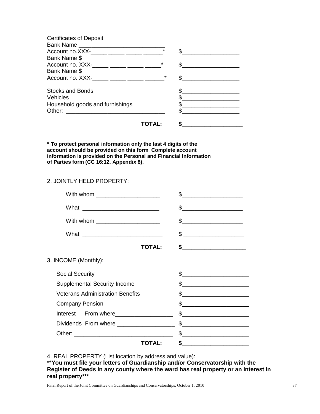| <b>Certificates of Deposit</b>                                                                                                  |         |  |
|---------------------------------------------------------------------------------------------------------------------------------|---------|--|
| Bank Name                                                                                                                       |         |  |
| Account no.XXX-_____ _____ _____ _____                                                                                          | $\star$ |  |
| Bank Name \$                                                                                                                    |         |  |
| Account no. XXX-_____ _____ _____ _____                                                                                         | $\star$ |  |
| Bank Name \$                                                                                                                    |         |  |
|                                                                                                                                 | $\star$ |  |
| Stocks and Bonds                                                                                                                |         |  |
| Vehicles                                                                                                                        |         |  |
| Household goods and furnishings                                                                                                 |         |  |
| Other:<br><u> 1989 - Johann John Stein, mars and de British Stein British Stein British Stein British Stein British Stein B</u> |         |  |
|                                                                                                                                 |         |  |

**\* To protect personal information only the last 4 digits of the account should be provided on this form**. **Complete account information is provided on the Personal and Financial Information of Parties form (CC 16:12, Appendix 8).**

#### 2. JOINTLY HELD PROPERTY:

| With whom ______________________           | \$                                                                                                                                                                                                                                                                                                                                                                  |
|--------------------------------------------|---------------------------------------------------------------------------------------------------------------------------------------------------------------------------------------------------------------------------------------------------------------------------------------------------------------------------------------------------------------------|
|                                            | $\begin{picture}(20,10) \put(0,0){\line(1,0){100}} \put(15,0){\line(1,0){100}} \put(15,0){\line(1,0){100}} \put(15,0){\line(1,0){100}} \put(15,0){\line(1,0){100}} \put(15,0){\line(1,0){100}} \put(15,0){\line(1,0){100}} \put(15,0){\line(1,0){100}} \put(15,0){\line(1,0){100}} \put(15,0){\line(1,0){100}} \put(15,0){\line(1,0){100}} \$                       |
| With whom ____________________             |                                                                                                                                                                                                                                                                                                                                                                     |
|                                            |                                                                                                                                                                                                                                                                                                                                                                     |
| <b>TOTAL:</b>                              |                                                                                                                                                                                                                                                                                                                                                                     |
| 3. INCOME (Monthly):                       |                                                                                                                                                                                                                                                                                                                                                                     |
| <b>Social Security</b>                     | s                                                                                                                                                                                                                                                                                                                                                                   |
| <b>Supplemental Security Income</b>        | \$                                                                                                                                                                                                                                                                                                                                                                  |
| <b>Veterans Administration Benefits</b>    | \$.                                                                                                                                                                                                                                                                                                                                                                 |
| <b>Company Pension</b>                     | $\sim$                                                                                                                                                                                                                                                                                                                                                              |
| Interest From where                        |                                                                                                                                                                                                                                                                                                                                                                     |
| Dividends From where _____________________ | $\begin{picture}(20,10) \put(0,0){\vector(1,0){100}} \put(15,0){\vector(1,0){100}} \put(15,0){\vector(1,0){100}} \put(15,0){\vector(1,0){100}} \put(15,0){\vector(1,0){100}} \put(15,0){\vector(1,0){100}} \put(15,0){\vector(1,0){100}} \put(15,0){\vector(1,0){100}} \put(15,0){\vector(1,0){100}} \put(15,0){\vector(1,0){100}} \put(15,0){\vector(1,0){100}} \$ |
|                                            |                                                                                                                                                                                                                                                                                                                                                                     |
| ΤΟΤΑΙ :                                    |                                                                                                                                                                                                                                                                                                                                                                     |
|                                            |                                                                                                                                                                                                                                                                                                                                                                     |

4. REAL PROPERTY (List location by address and value):

\*\*You must file your letters of Guardianship and/or Conservatorship with the **Register of Deeds in any county where the ward has real property or an interest in real property\*\*\***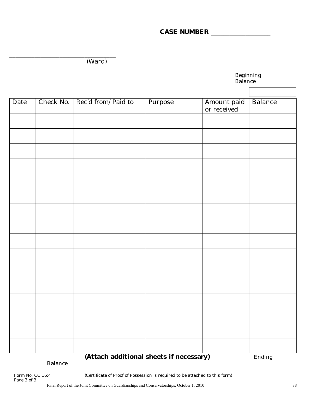## **CASE NUMBER \_\_\_\_\_\_\_\_\_\_\_\_\_\_\_\_\_\_\_**

**\_\_\_\_\_\_\_\_\_\_\_\_\_\_\_\_\_\_\_\_\_\_\_\_\_\_\_\_\_\_\_\_\_\_** (Ward)

|                                         |           |                    | Beginning<br>Balance |                            |         |  |
|-----------------------------------------|-----------|--------------------|----------------------|----------------------------|---------|--|
|                                         |           |                    |                      |                            |         |  |
| Date                                    | Check No. | Rec'd from/Paid to | Purpose              | Amount paid<br>or received | Balance |  |
|                                         |           |                    |                      |                            |         |  |
|                                         |           |                    |                      |                            |         |  |
|                                         |           |                    |                      |                            |         |  |
|                                         |           |                    |                      |                            |         |  |
|                                         |           |                    |                      |                            |         |  |
|                                         |           |                    |                      |                            |         |  |
|                                         |           |                    |                      |                            |         |  |
|                                         |           |                    |                      |                            |         |  |
|                                         |           |                    |                      |                            |         |  |
|                                         |           |                    |                      |                            |         |  |
|                                         |           |                    |                      |                            |         |  |
|                                         |           |                    |                      |                            |         |  |
|                                         |           |                    |                      |                            |         |  |
|                                         |           |                    |                      |                            |         |  |
|                                         |           |                    |                      |                            |         |  |
|                                         |           |                    |                      |                            |         |  |
| (Attach additional sheets if necessary) |           |                    |                      |                            | Ending  |  |

Balance

(Certificate of Proof of Possession is required to be attached to this form)

Form No. CC 16:4<br>Page 3 of 3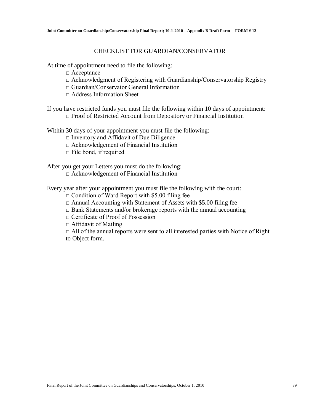#### CHECKLIST FOR GUARDIAN/CONSERVATOR

At time of appointment need to file the following:

- □ Acceptance
- $\Box$  Acknowledgment of Registering with Guardianship/Conservatorship Registry
- □ Guardian/Conservator General Information
- $\Box$  Address Information Sheet

If you have restricted funds you must file the following within 10 days of appointment: □ Proof of Restricted Account from Depository or Financial Institution

Within 30 days of your appointment you must file the following:

 $\square$  Inventory and Affidavit of Due Diligence

□ Acknowledgement of Financial Institution

 $\Box$  File bond, if required

After you get your Letters you must do the following:

□ Acknowledgement of Financial Institution

Every year after your appointment you must file the following with the court:

- $\Box$  Condition of Ward Report with \$5.00 filing fee
- $\Box$  Annual Accounting with Statement of Assets with \$5.00 filing fee
- $\Box$  Bank Statements and/or brokerage reports with the annual accounting
- □ Certificate of Proof of Possession

 $\Box$  Affidavit of Mailing

 $\Box$  All of the annual reports were sent to all interested parties with Notice of Right to Object form.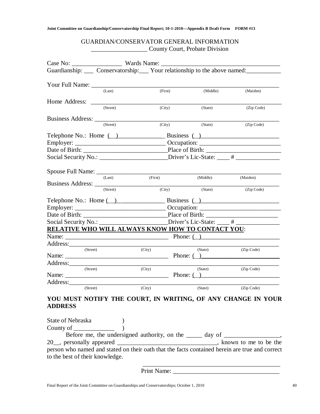## GUARDIAN/CONSERVATOR GENERAL INFORMATION \_\_\_\_\_\_\_\_\_\_\_\_\_\_\_\_\_\_ County Court, Probate Division

|                   |          |         | Guardianship: Conservatorship: Your relationship to the above named: Conservatorship: Conservatorship: Your relationship to the above named: |            |
|-------------------|----------|---------|----------------------------------------------------------------------------------------------------------------------------------------------|------------|
|                   |          |         |                                                                                                                                              |            |
| Your Full Name:   | (Last)   | (First) | (Middle)                                                                                                                                     | (Maiden)   |
|                   |          |         |                                                                                                                                              |            |
|                   | (Street) | (City)  | (State)                                                                                                                                      | (Zip Code) |
|                   |          |         |                                                                                                                                              |            |
|                   |          |         |                                                                                                                                              |            |
|                   | (Street) | (City)  | (State)                                                                                                                                      | (Zip Code) |
|                   |          |         | Telephone No.: Home $\left(\begin{array}{c}\right)$ Business $\left(\begin{array}{c}\right)$                                                 |            |
|                   |          |         |                                                                                                                                              |            |
|                   |          |         |                                                                                                                                              |            |
|                   |          |         | Social Security No.: __________________________Driver's Lic-State: ____ # ______________                                                     |            |
| Spouse Full Name: | (Last)   | (First) | (Middle)                                                                                                                                     | (Maiden)   |
|                   | (Street) |         |                                                                                                                                              |            |
|                   |          | (City)  | (State)                                                                                                                                      | (Zip Code) |
|                   |          |         | Telephone No.: Home ( ) Business ( )                                                                                                         |            |
|                   |          |         |                                                                                                                                              |            |
|                   |          |         |                                                                                                                                              |            |
|                   |          |         | Social Security No.: ________________________Driver's Lic-State: ____ # _________                                                            |            |
|                   |          |         | <b>RELATIVE WHO WILL ALWAYS KNOW HOW TO CONTACT YOU:</b>                                                                                     |            |
|                   |          |         | Phone: $($ )                                                                                                                                 |            |
|                   |          |         |                                                                                                                                              |            |
| (Street)          |          | (City)  | (State)<br>Phone: $\overline{()}$                                                                                                            | (Zip Code) |
|                   |          |         |                                                                                                                                              |            |
| (Street)          |          | (City)  | (State)                                                                                                                                      | (Zip Code) |
|                   |          |         | Phone: $\overline{()}$                                                                                                                       |            |
| Address:          |          |         |                                                                                                                                              |            |
| (Street)          |          | (City)  | (State)                                                                                                                                      | (Zip Code) |

## **YOU MUST NOTIFY THE COURT, IN WRITING, OF ANY CHANGE IN YOUR ADDRESS**

| State of Nebraska                                                                              |                                                                                   |                         |  |
|------------------------------------------------------------------------------------------------|-----------------------------------------------------------------------------------|-------------------------|--|
| County of <u>counts</u>                                                                        |                                                                                   |                         |  |
|                                                                                                | Before me, the undersigned authority, on the ______ day of _____________________, |                         |  |
|                                                                                                |                                                                                   | , known to me to be the |  |
| person who named and stated on their oath that the facts contained herein are true and correct |                                                                                   |                         |  |
| to the best of their knowledge.                                                                |                                                                                   |                         |  |
|                                                                                                |                                                                                   |                         |  |

Print Name: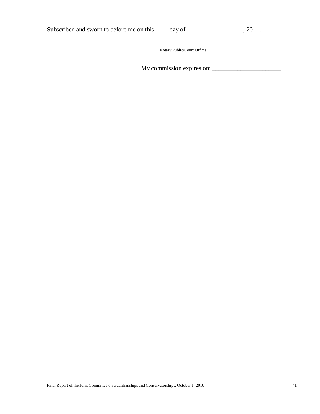| Subscribed and sworn to before me on this | day of |  |  |  |
|-------------------------------------------|--------|--|--|--|
|-------------------------------------------|--------|--|--|--|

\_\_\_\_\_\_\_\_\_\_\_\_\_\_\_\_\_\_\_\_\_\_\_\_\_\_\_\_\_\_\_\_\_\_\_\_\_\_\_\_\_\_\_\_\_\_\_\_\_\_\_\_\_\_\_\_\_\_\_\_\_\_\_\_\_\_\_ Notary Public/Court Official

My commission expires on: \_\_\_\_\_\_\_\_\_\_\_\_\_\_\_\_\_\_\_\_\_\_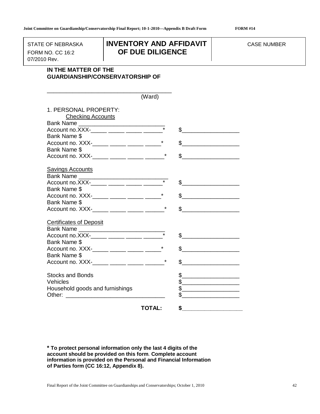07/2010 Rev.

## STATE OF NEBRASKA **INVENTORY AND AFFIDAVIT** FORM NO. CC 16:2 **OF DUE DILIGENCE**

## **IN THE MATTER OF THE GUARDIANSHIP/CONSERVATORSHIP OF**

|                                                     | (Ward)        |                                                                                                                                                                                                                                                                                                                                                                                                                                 |
|-----------------------------------------------------|---------------|---------------------------------------------------------------------------------------------------------------------------------------------------------------------------------------------------------------------------------------------------------------------------------------------------------------------------------------------------------------------------------------------------------------------------------|
| 1. PERSONAL PROPERTY:<br><b>Checking Accounts</b>   |               |                                                                                                                                                                                                                                                                                                                                                                                                                                 |
|                                                     |               |                                                                                                                                                                                                                                                                                                                                                                                                                                 |
| Account no.XXX-_____ _____ _____ _____              |               |                                                                                                                                                                                                                                                                                                                                                                                                                                 |
| Bank Name \$                                        |               |                                                                                                                                                                                                                                                                                                                                                                                                                                 |
|                                                     |               | \$                                                                                                                                                                                                                                                                                                                                                                                                                              |
| Bank Name \$                                        |               |                                                                                                                                                                                                                                                                                                                                                                                                                                 |
| Account no. XXX-_____ _____ _____ _____*            |               | \$                                                                                                                                                                                                                                                                                                                                                                                                                              |
|                                                     |               |                                                                                                                                                                                                                                                                                                                                                                                                                                 |
| <b>Savings Accounts</b>                             |               |                                                                                                                                                                                                                                                                                                                                                                                                                                 |
| Bank Name<br>Account no.XXX-_____ _____ _____ _____ |               |                                                                                                                                                                                                                                                                                                                                                                                                                                 |
| Bank Name \$                                        |               | $\sim$                                                                                                                                                                                                                                                                                                                                                                                                                          |
|                                                     |               | \$                                                                                                                                                                                                                                                                                                                                                                                                                              |
| Bank Name \$                                        |               |                                                                                                                                                                                                                                                                                                                                                                                                                                 |
| Account no. XXX-_____ _____ _____ _____*            |               | \$                                                                                                                                                                                                                                                                                                                                                                                                                              |
|                                                     |               |                                                                                                                                                                                                                                                                                                                                                                                                                                 |
| <b>Certificates of Deposit</b>                      |               |                                                                                                                                                                                                                                                                                                                                                                                                                                 |
| Bank Name                                           |               |                                                                                                                                                                                                                                                                                                                                                                                                                                 |
| Account no.XXX-_____ _____ _____ _____              |               |                                                                                                                                                                                                                                                                                                                                                                                                                                 |
| Bank Name \$                                        |               |                                                                                                                                                                                                                                                                                                                                                                                                                                 |
| Account no. XXX-_____ _____ _____ _____*            |               | $\frac{1}{\sqrt{1-\frac{1}{2}}}\frac{1}{\sqrt{1-\frac{1}{2}}}\frac{1}{\sqrt{1-\frac{1}{2}}}\frac{1}{\sqrt{1-\frac{1}{2}}}\frac{1}{\sqrt{1-\frac{1}{2}}}\frac{1}{\sqrt{1-\frac{1}{2}}}\frac{1}{\sqrt{1-\frac{1}{2}}}\frac{1}{\sqrt{1-\frac{1}{2}}}\frac{1}{\sqrt{1-\frac{1}{2}}}\frac{1}{\sqrt{1-\frac{1}{2}}}\frac{1}{\sqrt{1-\frac{1}{2}}}\frac{1}{\sqrt{1-\frac{1}{2}}}\frac{1}{\sqrt{1-\frac{1}{2}}}\frac{1}{\sqrt{1-\frac{$ |
| Bank Name \$                                        |               |                                                                                                                                                                                                                                                                                                                                                                                                                                 |
| Account no. XXX-_____ _____ _____ _____*            |               | \$                                                                                                                                                                                                                                                                                                                                                                                                                              |
| <b>Stocks and Bonds</b>                             |               | \$                                                                                                                                                                                                                                                                                                                                                                                                                              |
| Vehicles                                            |               | \$                                                                                                                                                                                                                                                                                                                                                                                                                              |
| Household goods and furnishings                     |               |                                                                                                                                                                                                                                                                                                                                                                                                                                 |
|                                                     |               |                                                                                                                                                                                                                                                                                                                                                                                                                                 |
|                                                     | <b>TOTAL:</b> | \$                                                                                                                                                                                                                                                                                                                                                                                                                              |

**\* To protect personal information only the last 4 digits of the account should be provided on this form**. **Complete account information is provided on the Personal and Financial Information of Parties form (CC 16:12, Appendix 8).**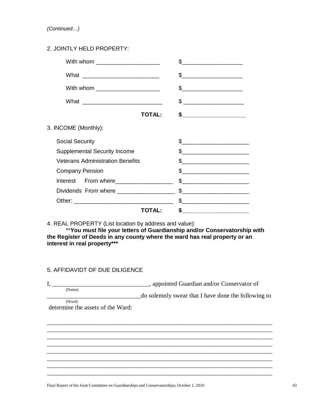*(Continued…)*

## 2. JOINTLY HELD PROPERTY:

| With whom ______________________         | \$.                                                                                                                                                                                                                                                                                                                                                                                                                              |
|------------------------------------------|----------------------------------------------------------------------------------------------------------------------------------------------------------------------------------------------------------------------------------------------------------------------------------------------------------------------------------------------------------------------------------------------------------------------------------|
|                                          |                                                                                                                                                                                                                                                                                                                                                                                                                                  |
| With whom ______________________         |                                                                                                                                                                                                                                                                                                                                                                                                                                  |
|                                          |                                                                                                                                                                                                                                                                                                                                                                                                                                  |
| <b>TOTAL:</b>                            | $\frac{1}{\sqrt{1-\frac{1}{\sqrt{1-\frac{1}{\sqrt{1-\frac{1}{\sqrt{1-\frac{1}{\sqrt{1-\frac{1}{\sqrt{1-\frac{1}{\sqrt{1-\frac{1}{\sqrt{1-\frac{1}{\sqrt{1-\frac{1}{\sqrt{1-\frac{1}{\sqrt{1-\frac{1}{\sqrt{1-\frac{1}{\sqrt{1-\frac{1}{\sqrt{1-\frac{1}{\sqrt{1-\frac{1}{\sqrt{1-\frac{1}{\sqrt{1-\frac{1}{\sqrt{1-\frac{1}{\sqrt{1-\frac{1}{\sqrt{1-\frac{1}{1-\frac{1}{\sqrt{1-\frac{1}{1-\frac{1}{\sqrt{1-\frac{1}{1-\frac{1$ |
| 3. INCOME (Monthly):                     |                                                                                                                                                                                                                                                                                                                                                                                                                                  |
| <b>Social Security</b>                   | $\frac{1}{2}$                                                                                                                                                                                                                                                                                                                                                                                                                    |
| <b>Supplemental Security Income</b>      | $\sim$                                                                                                                                                                                                                                                                                                                                                                                                                           |
| <b>Veterans Administration Benefits</b>  | $\frac{1}{\sqrt{2}}$                                                                                                                                                                                                                                                                                                                                                                                                             |
| <b>Company Pension</b>                   |                                                                                                                                                                                                                                                                                                                                                                                                                                  |
| Interest From where                      | $\begin{picture}(20,10) \put(0,0){\vector(1,0){100}} \put(15,0){\vector(1,0){100}} \put(15,0){\vector(1,0){100}} \put(15,0){\vector(1,0){100}} \put(15,0){\vector(1,0){100}} \put(15,0){\vector(1,0){100}} \put(15,0){\vector(1,0){100}} \put(15,0){\vector(1,0){100}} \put(15,0){\vector(1,0){100}} \put(15,0){\vector(1,0){100}} \put(15,0){\vector(1,0){100}} \$                                                              |
| Dividends From where ___________________ | $\frac{1}{2}$                                                                                                                                                                                                                                                                                                                                                                                                                    |
|                                          | $\frac{1}{2}$                                                                                                                                                                                                                                                                                                                                                                                                                    |
| TOTAL:                                   | $\sim$                                                                                                                                                                                                                                                                                                                                                                                                                           |
|                                          |                                                                                                                                                                                                                                                                                                                                                                                                                                  |

4. REAL PROPERTY (List location by address and value):

\*\***You must file your letters of Guardianship and/or Conservatorship with the Register of Deeds in any county where the ward has real property or an interest in real property\*\*\***

### 5. AFFIDAVIDT OF DUE DILIGENCE

I, \_\_\_\_\_\_\_\_\_\_\_\_\_\_\_\_\_\_\_\_\_\_\_\_\_\_\_\_\_\_\_\_, appointed Guardian and/or Conservator of (Name)

\_\_\_\_\_\_\_\_\_\_\_\_\_\_\_\_\_\_\_\_\_\_\_\_\_\_\_\_\_\_do solemnly swear that I have done the following to (Ward)

\_\_\_\_\_\_\_\_\_\_\_\_\_\_\_\_\_\_\_\_\_\_\_\_\_\_\_\_\_\_\_\_\_\_\_\_\_\_\_\_\_\_\_\_\_\_\_\_\_\_\_\_\_\_\_\_\_\_\_\_\_\_\_\_\_\_\_\_\_\_\_\_ \_\_\_\_\_\_\_\_\_\_\_\_\_\_\_\_\_\_\_\_\_\_\_\_\_\_\_\_\_\_\_\_\_\_\_\_\_\_\_\_\_\_\_\_\_\_\_\_\_\_\_\_\_\_\_\_\_\_\_\_\_\_\_\_\_\_\_\_\_\_\_\_ \_\_\_\_\_\_\_\_\_\_\_\_\_\_\_\_\_\_\_\_\_\_\_\_\_\_\_\_\_\_\_\_\_\_\_\_\_\_\_\_\_\_\_\_\_\_\_\_\_\_\_\_\_\_\_\_\_\_\_\_\_\_\_\_\_\_\_\_\_\_\_\_ \_\_\_\_\_\_\_\_\_\_\_\_\_\_\_\_\_\_\_\_\_\_\_\_\_\_\_\_\_\_\_\_\_\_\_\_\_\_\_\_\_\_\_\_\_\_\_\_\_\_\_\_\_\_\_\_\_\_\_\_\_\_\_\_\_\_\_\_\_\_\_\_ \_\_\_\_\_\_\_\_\_\_\_\_\_\_\_\_\_\_\_\_\_\_\_\_\_\_\_\_\_\_\_\_\_\_\_\_\_\_\_\_\_\_\_\_\_\_\_\_\_\_\_\_\_\_\_\_\_\_\_\_\_\_\_\_\_\_\_\_\_\_\_\_ \_\_\_\_\_\_\_\_\_\_\_\_\_\_\_\_\_\_\_\_\_\_\_\_\_\_\_\_\_\_\_\_\_\_\_\_\_\_\_\_\_\_\_\_\_\_\_\_\_\_\_\_\_\_\_\_\_\_\_\_\_\_\_\_\_\_\_\_\_\_\_\_ \_\_\_\_\_\_\_\_\_\_\_\_\_\_\_\_\_\_\_\_\_\_\_\_\_\_\_\_\_\_\_\_\_\_\_\_\_\_\_\_\_\_\_\_\_\_\_\_\_\_\_\_\_\_\_\_\_\_\_\_\_\_\_\_\_\_\_\_\_\_\_\_ \_\_\_\_\_\_\_\_\_\_\_\_\_\_\_\_\_\_\_\_\_\_\_\_\_\_\_\_\_\_\_\_\_\_\_\_\_\_\_\_\_\_\_\_\_\_\_\_\_\_\_\_\_\_\_\_\_\_\_\_\_\_\_\_\_\_\_\_\_\_\_\_

determine the assets of the Ward: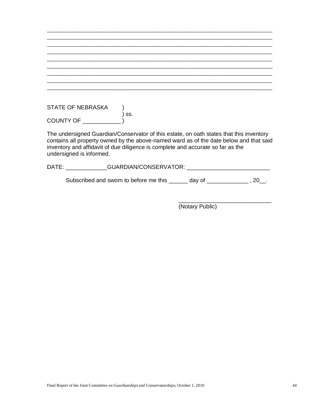| <b>STATE OF NEBRASKA</b> |     |
|--------------------------|-----|
|                          | SS. |
| COUNTY OF                |     |

\_\_\_\_\_\_\_\_\_\_\_\_\_\_\_\_\_\_\_\_\_\_\_\_\_\_\_\_\_\_\_\_\_\_\_\_\_\_\_\_\_\_\_\_\_\_\_\_\_\_\_\_\_\_\_\_\_\_\_\_\_\_\_\_\_\_\_\_\_\_\_\_

The undersigned Guardian/Conservator of this estate, on oath states that this inventory contains all property owned by the above-named ward as of the date below and that said inventory and affidavit of due diligence is complete and accurate so far as the undersigned is informed.

DATE: \_\_\_\_\_\_\_\_\_\_\_\_\_GUARDIAN/CONSERVATOR: \_\_\_\_\_\_\_\_\_\_\_\_\_\_\_\_\_\_\_\_\_\_\_\_\_\_

Subscribed and sworn to before me this \_\_\_\_\_ day of \_\_\_\_\_\_\_\_\_\_\_\_, 20\_.

(Notary Public)

 $\overline{\phantom{a}}$  , where  $\overline{\phantom{a}}$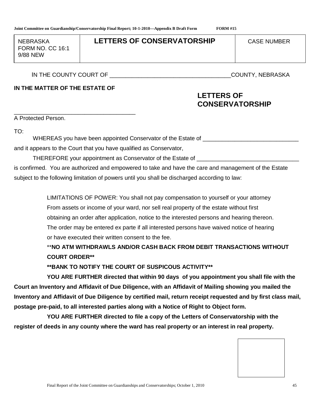FORM NO. CC 16:1 9/88 NEW 9/88 NEW

## NEBRASKA **LETTERS OF CONSERVATORSHIP** CASE NUMBER

IN THE COUNTY COURT OF THE COUNTY, NEBRASKA

## **IN THE MATTER OF THE ESTATE OF**

## **LETTERS OF CONSERVATORSHIP**

\_\_\_\_\_\_\_\_\_\_\_\_\_\_\_\_\_\_\_\_\_\_\_\_\_\_\_\_\_\_\_\_\_\_\_\_\_\_ A Protected Person.

TO:

WHEREAS you have been appointed Conservator of the Estate of

and it appears to the Court that you have qualified as Conservator,

THEREFORE your appointment as Conservator of the Estate of \_\_\_\_

is confirmed. You are authorized and empowered to take and have the care and management of the Estate subject to the following limitation of powers until you shall be discharged according to law:

> LIMITATIONS OF POWER: You shall not pay compensation to yourself or your attorney From assets or income of your ward, nor sell real property of the estate without first obtaining an order after application, notice to the interested persons and hearing thereon. The order may be entered ex parte if all interested persons have waived notice of hearing or have executed their written consent to the fee.

\*\***NO ATM WITHDRAWLS AND/OR CASH BACK FROM DEBIT TRANSACTIONS WITHOUT COURT ORDER\*\***

**\*\*BANK TO NOTIFY THE COURT OF SUSPICOUS ACTIVITY\*\***

**YOU ARE FURTHER directed that within 90 days of you appointment you shall file with the Court an Inventory and Affidavit of Due Diligence, with an Affidavit of Mailing showing you mailed the Inventory and Affidavit of Due Diligence by certified mail, return receipt requested and by first class mail, postage pre-paid, to all interested parties along with a Notice of Right to Object form.**

**YOU ARE FURTHER directed to file a copy of the Letters of Conservatorship with the register of deeds in any county where the ward has real property or an interest in real property.**

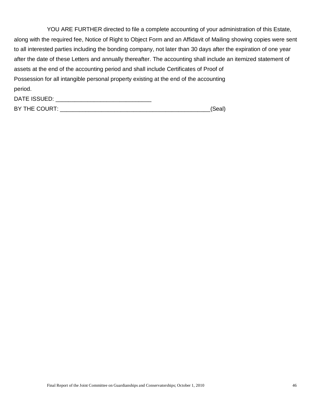| YOU ARE FURTHER directed to file a complete accounting of your administration of this Estate,                    |
|------------------------------------------------------------------------------------------------------------------|
| along with the required fee, Notice of Right to Object Form and an Affidavit of Mailing showing copies were sent |
| to all interested parties including the bonding company, not later than 30 days after the expiration of one year |
| after the date of these Letters and annually thereafter. The accounting shall include an itemized statement of   |
| assets at the end of the accounting period and shall include Certificates of Proof of                            |
| Possession for all intangible personal property existing at the end of the accounting                            |
| period.                                                                                                          |
| DATE ISSUED:                                                                                                     |

| BY THE COURT: |  |
|---------------|--|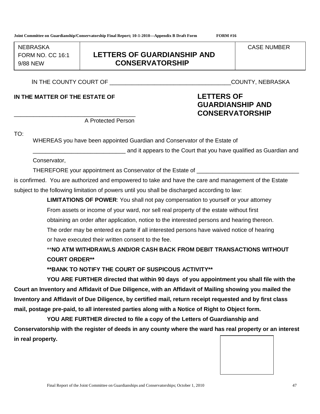FORM NO. CC 16:1 9/88 NFW  $\overline{\qquad \qquad }$ 

## **LETTERS OF GUARDIANSHIP AND** 9/88 NEW **CONSERVATORSHIP**

IN THE COUNTY COURT OF THE COUNTY, NEBRASKA

**IN THE MATTER OF THE ESTATE OF LETTERS OF**

## A Protected Person

WHEREAS you have been appointed Guardian and Conservator of the Estate of

and it appears to the Court that you have qualified as Guardian and

Conservator,

TO:

THEREFORE your appointment as Conservator of the Estate of \_\_\_\_\_\_\_\_\_\_\_\_\_\_\_\_\_\_\_\_\_

is confirmed. You are authorized and empowered to take and have the care and management of the Estate subject to the following limitation of powers until you shall be discharged according to law:

> **LIMITATIONS OF POWER**: You shall not pay compensation to yourself or your attorney From assets or income of your ward, nor sell real property of the estate without first obtaining an order after application, notice to the interested persons and hearing thereon. The order may be entered ex parte if all interested persons have waived notice of hearing or have executed their written consent to the fee.

## \*\***NO ATM WITHDRAWLS AND/OR CASH BACK FROM DEBIT TRANSACTIONS WITHOUT COURT ORDER\*\***

**\*\*BANK TO NOTIFY THE COURT OF SUSPICOUS ACTIVITY\*\***

**YOU ARE FURTHER directed that within 90 days of you appointment you shall file with the Court an Inventory and Affidavit of Due Diligence, with an Affidavit of Mailing showing you mailed the Inventory and Affidavit of Due Diligence, by certified mail, return receipt requested and by first class mail, postage pre-paid, to all interested parties along with a Notice of Right to Object form.**

**YOU ARE FURTHER directed to file a copy of the Letters of Guardianship and Conservatorship with the register of deeds in any county where the ward has real property or an interest in real property.**

**GUARDIANSHIP AND** \_\_\_\_\_\_\_\_\_\_\_\_\_\_\_\_\_\_\_\_\_\_\_\_\_\_\_\_\_\_\_\_\_\_\_\_\_\_ **CONSERVATORSHIP**

NEBRASKA NEGREGA (CASE NUMBER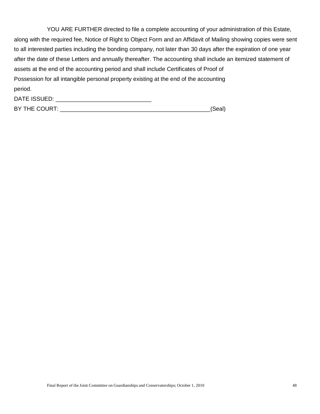| YOU ARE FURTHER directed to file a complete accounting of your administration of this Estate,                    |
|------------------------------------------------------------------------------------------------------------------|
| along with the required fee, Notice of Right to Object Form and an Affidavit of Mailing showing copies were sent |
| to all interested parties including the bonding company, not later than 30 days after the expiration of one year |
| after the date of these Letters and annually thereafter. The accounting shall include an itemized statement of   |
| assets at the end of the accounting period and shall include Certificates of Proof of                            |
| Possession for all intangible personal property existing at the end of the accounting                            |
| period.                                                                                                          |
| DATE ISSUED:                                                                                                     |

| BY THE COURT: |  |
|---------------|--|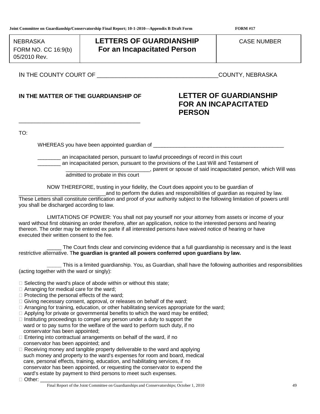FORM NO. CC  $16:9(b)$ FORM NO. CC 16:9(b) 05/2010 Rev.05/2010 Rev.

## NEBRASKA **LETTERS OF GUARDIANSHIP** CASE NUMBER **For an Incapacitated Person**

IN THE COUNTY COURT OF THE COUNTY, NEBRASKA

## **IN THE MATTER OF THE GUARDIANSHIP OF LETTER OF GUARDIANSHIP**

\_\_\_\_\_\_\_\_\_\_\_\_\_\_\_\_\_\_\_\_\_\_\_\_\_\_\_\_\_\_\_\_\_\_\_\_\_\_

# **FOR AN INCAPACITATED PERSON**

TO:

WHEREAS you have been appointed guardian of

\_\_\_\_\_\_\_\_ an incapacitated person, pursuant to lawful proceedings of record in this court \_\_\_\_\_\_\_\_ an incapacitated person, pursuant to the provisions of the Last Will and Testament of  $\Box$ , parent or spouse of said incapacitated person, which Will was

admitted to probate in this court

NOW THEREFORE, trusting in your fidelity, the Court does appoint you to be guardian of

and to perform the duties and responsibilities of quardian as required by law. These Letters shall constitute certification and proof of your authority subject to the following limitation of powers until you shall be discharged according to law.

LIMITATIONS OF POWER: You shall not pay yourself nor your attorney from assets or income of your ward without first obtaining an order therefore, after an application, notice to the interested persons and hearing thereon. The order may be entered ex parte if all interested persons have waived notice of hearing or have executed their written consent to the fee.

The Court finds clear and convincing evidence that a full guardianship is necessary and is the least restrictive alternative. T**he guardian is granted all powers conferred upon guardians by law.**

**\_\_\_\_\_** This is a limited guardianship. You, as Guardian, shall have the following authorities and responsibilities (acting together with the ward or singly):

- $\Box$  Selecting the ward's place of abode within or without this state;
- $\Box$  Arranging for medical care for the ward;
- $\Box$  Protecting the personal effects of the ward:
- $\Box$  Giving necessary consent, approval, or releases on behalf of the ward;
- $\Box$  Arranging for training, education, or other habilitating services appropriate for the ward;
- $\Box$  Applying for private or governmental benefits to which the ward may be entitled;
- $\Box$  Instituting proceedings to compel any person under a duty to support the ward or to pay sums for the welfare of the ward to perform such duty, if no conservator has been appointed;
- $\Box$  Entering into contractual arrangements on behalf of the ward, if no conservator has been appointed; and
- $\Box$  Receiving money and tangible property deliverable to the ward and applying such money and property to the ward's expenses for room and board, medical care, personal effects, training, education, and habilitating services, if no conservator has been appointed, or requesting the conservator to expend the ward's estate by payment to third persons to meet such expenses.

 $\Box$  Other: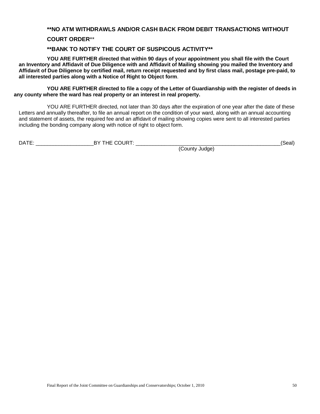#### **\*\*NO ATM WITHDRAWLS AND/OR CASH BACK FROM DEBIT TRANSACTIONS WITHOUT**

#### **COURT ORDER**\*\*

#### **\*\*BANK TO NOTIFY THE COURT OF SUSPICOUS ACTIVITY\*\***

**YOU ARE FURTHER directed that within 90 days of your appointment you shall file with the Court an Inventory and Affidavit of Due Diligence with and Affidavit of Mailing showing you mailed the Inventory and Affidavit of Due Diligence by certified mail, return receipt requested and by first class mail, postage pre-paid, to all interested parties along with a Notice of Right to Object form**.

**YOU ARE FURTHER directed to file a copy of the Letter of Guardianship with the register of deeds in any county where the ward has real property or an interest in real property.**

YOU ARE FURTHER directed, not later than 30 days after the expiration of one year after the date of these Letters and annually thereafter, to file an annual report on the condition of your ward, along with an annual accounting and statement of assets, the required fee and an affidavit of mailing showing copies were sent to all interested parties including the bonding company along with notice of right to object form.

| $\overline{\phantom{a}}$<br>- - | $\cdots$<br>יי<br>- |  |
|---------------------------------|---------------------|--|
|                                 |                     |  |

(County Judge)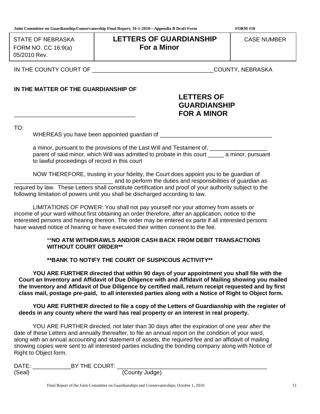STATE OF NEBRASKA 05/2010 Rev. 05/2010 Rev.

## FORM NO. CC 16:9(a) FORM NO. CC 16:9(a) **For a Minor LETTERS OF GUARDIANSHIP** | CASE NUMBER

IN THE COUNTY COURT OF \_\_\_\_\_\_\_\_\_\_\_\_\_\_\_\_\_\_\_\_\_\_\_\_\_\_\_\_\_\_\_\_\_\_\_\_\_\_COUNTY, NEBRASKA

## **IN THE MATTER OF THE GUARDIANSHIP OF**

## **LETTERS OF GUARDIANSHIP** \_\_\_\_\_\_\_\_\_\_\_\_\_\_\_\_\_\_\_\_\_\_\_\_\_\_\_\_\_\_\_\_\_\_\_\_\_\_ **FOR A MINOR**

TO:

WHEREAS you have been appointed quardian of  $\Box$ 

a minor, pursuant to the provisions of the Last Will and Testament of, \_\_\_\_\_\_\_\_\_\_\_\_\_\_\_\_ parent of said minor, which Will was admitted to probate in this court \_\_\_\_\_ a minor, pursuant to lawful proceedings of record in this court

NOW THEREFORE, trusting in your fidelity, the Court does appoint you to be guardian of and to perform the duties and responsibilities of guardian as required by law. These Letters shall constitute certification and proof of your authority subject to the following limitation of powers until you shall be discharged according to law.

LIMITATIONS OF POWER: You shall not pay yourself nor your attorney from assets or income of your ward without first obtaining an order therefore, after an application, notice to the interested persons and hearing thereon. The order may be entered ex parte if all interested persons have waived notice of hearing or have executed their written consent to the fee.

#### \*\***NO ATM WITHDRAWLS AND/OR CASH BACK FROM DEBIT TRANSACTIONS WITHOUT COURT ORDER\*\***

**\*\*BANK TO NOTIFY THE COURT OF SUSPICOUS ACTIVITY\*\***

**YOU ARE FURTHER directed that within 90 days of your appointment you shall file with the Court an Inventory and Affidavit of Due Diligence with and Affidavit of Mailing showing you mailed the Inventory and Affidavit of Due Diligence by certified mail, return receipt requested and by first class mail, postage pre-paid, to all interested parties along with a Notice of Right to Object form.**

**YOU ARE FURTHER directed to file a copy of the Letters of Guardianship with the register of deeds in any county where the ward has real property or an interest in real property.**

YOU ARE FURTHER directed, not later than 30 days after the expiration of one year after the date of these Letters and annually thereafter, to file an annual report on the condition of your ward, along with an annual accounting and statement of assets, the required fee and an affidavit of mailing showing copies were sent to all interested parties including the bonding company along with Notice of Right to Object form.

| DATE:  | BY THE COURT: |                |
|--------|---------------|----------------|
| (Seal) |               | (County Judge) |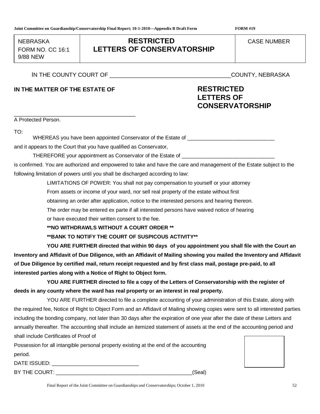FORM NO.  $CC$  16:1 9/88 NEW  $\frac{9}{8}$ 

## NEBRASKA **RESTRICTED** CASE NUMBER **LETTERS OF CONSERVATORSHIP**

IN THE COUNTY COURT OF THE COUNTY, NEBRASKA

\_\_\_\_\_\_\_\_\_\_\_\_\_\_\_\_\_\_\_\_\_\_\_\_\_\_\_\_\_\_\_\_\_\_\_\_\_\_

## **IN THE MATTER OF THE ESTATE OF RESTRICTED**

# **LETTERS OF CONSERVATORSHIP**

A Protected Person.

TO:

WHEREAS you have been appointed Conservator of the Estate of \_\_\_\_\_\_\_\_\_\_\_\_\_\_\_\_\_\_\_\_

and it appears to the Court that you have qualified as Conservator,

THEREFORE your appointment as Conservator of the Estate of

is confirmed. You are authorized and empowered to take and have the care and management of the Estate subject to the following limitation of powers until you shall be discharged according to law:

LIMITATIONS OF POWER: You shall not pay compensation to yourself or your attorney

From assets or income of your ward, nor sell real property of the estate without first

obtaining an order after application, notice to the interested persons and hearing thereon.

The order may be entered ex parte if all interested persons have waived notice of hearing

or have executed their written consent to the fee.

**\*\*NO WITHDRAWLS WITHOUT A COURT ORDER \*\***

**\*\*BANK TO NOTIFY THE COURT OF SUSPICOUS ACTIVITY\*\***

**YOU ARE FURTHER directed that within 90 days of you appointment you shall file with the Court an Inventory and Affidavit of Due Diligence, with an Affidavit of Mailing showing you mailed the Inventory and Affidavit of Due Diligence by certified mail, return receipt requested and by first class mail, postage pre-paid, to all interested parties along with a Notice of Right to Object form.**

**YOU ARE FURTHER directed to file a copy of the Letters of Conservatorship with the register of deeds in any county where the ward has real property or an interest in real property.**

YOU ARE FURTHER directed to file a complete accounting of your administration of this Estate, along with the required fee, Notice of Right to Object Form and an Affidavit of Mailing showing copies were sent to all interested parties including the bonding company, not later than 30 days after the expiration of one year after the date of these Letters and annually thereafter. The accounting shall include an itemized statement of assets at the end of the accounting period and shall include Certificates of Proof of

Possession for all intangible personal property existing at the end of the accounting period.

DATE ISSUED:  $\blacksquare$ 

BY THE COURT: The COURT of the COURT of the COURT of the COURT of the COURT of the COURT of the COURT of the COURT of the COURT of the COURT of the COURT of the COURT of the COURT of the COURT of the COURT of the COURT of



Final Report of the Joint Committee on Guardianships and Conservatorships; October 1, 2010 52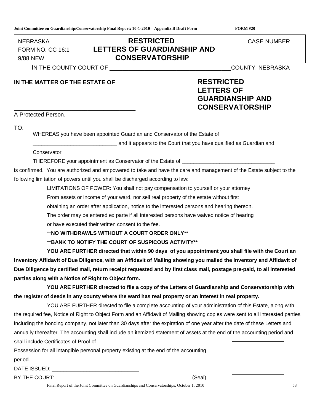FORM NO. CC 16:1  $\frac{1}{2}$   $\frac{1}{2}$   $\frac{1}{2}$   $\frac{1}{2}$   $\frac{1}{2}$   $\frac{1}{2}$   $\frac{1}{2}$   $\frac{1}{2}$   $\frac{1}{2}$   $\frac{1}{2}$   $\frac{1}{2}$   $\frac{1}{2}$   $\frac{1}{2}$   $\frac{1}{2}$   $\frac{1}{2}$   $\frac{1}{2}$   $\frac{1}{2}$   $\frac{1}{2}$   $\frac{1}{2}$   $\frac{1}{2}$   $\frac{1}{2}$   $\frac{1}{2}$   $\frac{9}{80}$ 

## NEBRASKA **RESTRICTED** CASE NUMBER **LETTERS OF GUARDIANSHIP AND** 9/88 NEW **CONSERVATORSHIP**

IN THE COUNTY COURT OF THE COUNTY, NEBRASKA

## **IN THE MATTER OF THE ESTATE OF RESTRICTED**

# **LETTERS OF GUARDIANSHIP AND** \_\_\_\_\_\_\_\_\_\_\_\_\_\_\_\_\_\_\_\_\_\_\_\_\_\_\_\_\_\_\_\_\_\_\_\_\_\_ **CONSERVATORSHIP**

A Protected Person.

TO:

WHEREAS you have been appointed Guardian and Conservator of the Estate of

**EXECUTE:** and it appears to the Court that you have qualified as Guardian and

Conservator,

THEREFORE your appointment as Conservator of the Estate of \_\_\_\_\_\_\_\_\_\_\_\_\_\_\_\_\_\_\_\_\_\_

is confirmed. You are authorized and empowered to take and have the care and management of the Estate subject to the following limitation of powers until you shall be discharged according to law:

LIMITATIONS OF POWER: You shall not pay compensation to yourself or your attorney

From assets or income of your ward, nor sell real property of the estate without first

obtaining an order after application, notice to the interested persons and hearing thereon.

The order may be entered ex parte if all interested persons have waived notice of hearing

or have executed their written consent to the fee.

\*\***NO WITHDRAWLS WITHOUT A COURT ORDER ONLY\*\***

**\*\*BANK TO NOTIFY THE COURT OF SUSPICOUS ACTIVITY\*\***

**YOU ARE FURTHER directed that within 90 days of you appointment you shall file with the Court an Inventory Affidavit of Due Diligence, with an Affidavit of Mailing showing you mailed the Inventory and Affidavit of Due Diligence by certified mail, return receipt requested and by first class mail, postage pre-paid, to all interested parties along with a Notice of Right to Object form.**

**YOU ARE FURTHER directed to file a copy of the Letters of Guardianship and Conservatorship with the register of deeds in any county where the ward has real property or an interest in real property.**

YOU ARE FURTHER directed to file a complete accounting of your administration of this Estate, along with the required fee, Notice of Right to Object Form and an Affidavit of Mailing showing copies were sent to all interested parties including the bonding company, not later than 30 days after the expiration of one year after the date of these Letters and annually thereafter. The accounting shall include an itemized statement of assets at the end of the accounting period and shall include Certificates of Proof of

Possession for all intangible personal property existing at the end of the accounting period.

DATE ISSUED:  $\blacksquare$ 

BY THE COURT: \_\_\_\_\_\_\_\_\_\_\_\_\_\_\_\_\_\_\_\_\_\_\_\_\_\_\_\_\_\_\_\_\_\_\_\_\_\_\_\_\_\_\_\_\_\_\_(Seal)

Final Report of the Joint Committee on Guardianships and Conservatorships; October 1, 2010 53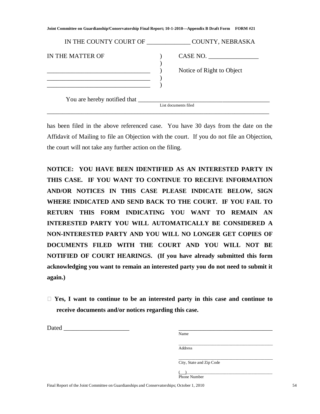| IN THE COUNTY COURT OF | COUNTY, NEBRASKA                      |
|------------------------|---------------------------------------|
| IN THE MATTER OF       | CASE NO.<br>Notice of Right to Object |
|                        | List documents filed                  |

has been filed in the above referenced case. You have 30 days from the date on the Affidavit of Mailing to file an Objection with the court. If you do not file an Objection, the court will not take any further action on the filing.

**NOTICE: YOU HAVE BEEN IDENTIFIED AS AN INTERESTED PARTY IN THIS CASE. IF YOU WANT TO CONTINUE TO RECEIVE INFORMATION AND/OR NOTICES IN THIS CASE PLEASE INDICATE BELOW, SIGN WHERE INDICATED AND SEND BACK TO THE COURT. IF YOU FAIL TO RETURN THIS FORM INDICATING YOU WANT TO REMAIN AN INTERESTED PARTY YOU WILL AUTOMATICALLY BE CONSIDERED A NON-INTERESTED PARTY AND YOU WILL NO LONGER GET COPIES OF DOCUMENTS FILED WITH THE COURT AND YOU WILL NOT BE NOTIFIED OF COURT HEARINGS. (If you have already submitted this form acknowledging you want to remain an interested party you do not need to submit it again.)**

 **Yes, I want to continue to be an interested party in this case and continue to receive documents and/or notices regarding this case.**

| Dated |                          |  |
|-------|--------------------------|--|
|       | Name                     |  |
|       |                          |  |
|       | Address                  |  |
|       |                          |  |
|       | City, State and Zip Code |  |
|       |                          |  |
|       | Phone Number             |  |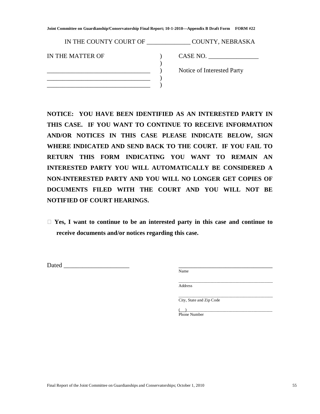| IN THE COUNTY COURT OF | COUNTY, NEBRASKA           |
|------------------------|----------------------------|
| IN THE MATTER OF       | CASE NO.                   |
|                        | Notice of Interested Party |
|                        |                            |

**NOTICE: YOU HAVE BEEN IDENTIFIED AS AN INTERESTED PARTY IN THIS CASE. IF YOU WANT TO CONTINUE TO RECEIVE INFORMATION AND/OR NOTICES IN THIS CASE PLEASE INDICATE BELOW, SIGN WHERE INDICATED AND SEND BACK TO THE COURT. IF YOU FAIL TO RETURN THIS FORM INDICATING YOU WANT TO REMAIN AN INTERESTED PARTY YOU WILL AUTOMATICALLY BE CONSIDERED A NON-INTERESTED PARTY AND YOU WILL NO LONGER GET COPIES OF DOCUMENTS FILED WITH THE COURT AND YOU WILL NOT BE NOTIFIED OF COURT HEARINGS.** 

 **Yes, I want to continue to be an interested party in this case and continue to receive documents and/or notices regarding this case.**

Dated  $\Box$ 

Name

\_\_\_\_\_\_\_\_\_\_\_\_\_\_\_\_\_\_\_\_\_\_\_\_\_\_\_\_\_\_\_\_\_\_\_\_\_\_\_\_\_\_\_\_\_ Address

\_\_\_\_\_\_\_\_\_\_\_\_\_\_\_\_\_\_\_\_\_\_\_\_\_\_\_\_\_\_\_\_\_\_\_\_\_\_\_\_\_\_\_\_\_ City, State and Zip Code

( )\_\_\_\_\_\_\_\_\_\_\_\_\_\_\_\_\_\_\_\_\_\_\_\_\_\_\_\_\_\_\_\_\_\_\_\_\_\_\_\_\_ Phone Number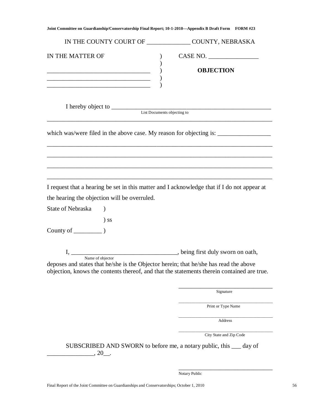|                                                                                                           | IN THE COUNTY COURT OF ________________ COUNTY, NEBRASKA                                    |
|-----------------------------------------------------------------------------------------------------------|---------------------------------------------------------------------------------------------|
| IN THE MATTER OF                                                                                          | CASE NO.<br><b>OBJECTION</b>                                                                |
|                                                                                                           | List Documents objecting to                                                                 |
|                                                                                                           |                                                                                             |
|                                                                                                           |                                                                                             |
|                                                                                                           | I request that a hearing be set in this matter and I acknowledge that if I do not appear at |
| the hearing the objection will be overruled.                                                              |                                                                                             |
| State of Nebraska                                                                                         |                                                                                             |
| $)$ SS                                                                                                    |                                                                                             |
|                                                                                                           |                                                                                             |
| Name of objector<br>deposes and states that he/she is the Objector herein; that he/she has read the above | objection, knows the contents thereof, and that the statements therein contained are true.  |
|                                                                                                           | Signature                                                                                   |
|                                                                                                           | Print or Type Name                                                                          |
|                                                                                                           | Address                                                                                     |
|                                                                                                           | City State and Zip Code                                                                     |
| $, 20$ __.                                                                                                | SUBSCRIBED AND SWORN to before me, a notary public, this <u>equal</u> day of                |

Notary Public

\_\_\_\_\_\_\_\_\_\_\_\_\_\_\_\_\_\_\_\_\_\_\_\_\_\_\_\_\_\_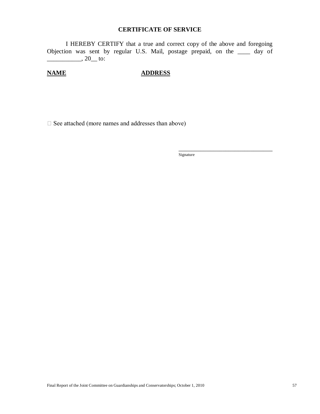#### **CERTIFICATE OF SERVICE**

I HEREBY CERTIFY that a true and correct copy of the above and foregoing Objection was sent by regular U.S. Mail, postage prepaid, on the \_\_\_\_ day of  $\frac{1}{20}$ , 20 to:

## **NAME ADDRESS**

 $\Box$  See attached (more names and addresses than above)

Signature

\_\_\_\_\_\_\_\_\_\_\_\_\_\_\_\_\_\_\_\_\_\_\_\_\_\_\_\_\_\_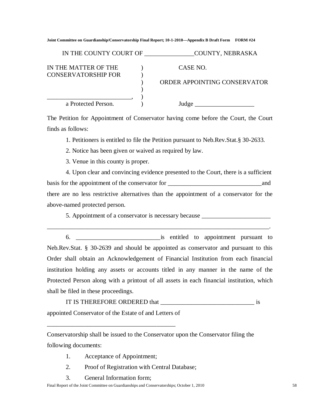| IN THE COUNTY COURT OF                             | COUNTY, NEBRASKA             |
|----------------------------------------------------|------------------------------|
| IN THE MATTER OF THE<br><b>CONSERVATORSHIP FOR</b> | CASE NO.                     |
|                                                    | ORDER APPOINTING CONSERVATOR |
|                                                    |                              |
| a Protected Person.                                | Judge                        |

The Petition for Appointment of Conservator having come before the Court, the Court finds as follows:

1. Petitioners is entitled to file the Petition pursuant to Neb.Rev.Stat.§ 30-2633.

2. Notice has been given or waived as required by law.

3. Venue in this county is proper.

4. Upon clear and convincing evidence presented to the Court, there is a sufficient basis for the appointment of the conservator for \_\_\_\_\_\_\_\_\_\_\_\_\_\_\_\_\_\_\_\_\_\_\_\_\_\_\_\_\_\_and there are no less restrictive alternatives than the appointment of a conservator for the above-named protected person.

5. Appointment of a conservator is necessary because \_\_\_\_\_\_\_\_\_\_\_\_\_\_\_\_\_\_\_\_\_\_\_\_\_\_\_

6. \_\_\_\_\_\_\_\_\_\_\_\_\_\_\_\_\_\_\_\_\_\_\_\_\_\_\_is entitled to appointment pursuant to Neb.Rev.Stat. § 30-2639 and should be appointed as conservator and pursuant to this Order shall obtain an Acknowledgement of Financial Institution from each financial institution holding any assets or accounts titled in any manner in the name of the Protected Person along with a printout of all assets in each financial institution, which shall be filed in these proceedings.

\_\_\_\_\_\_\_\_\_\_\_\_\_\_\_\_\_\_\_\_\_\_\_\_\_\_\_\_\_\_\_\_\_\_\_\_\_\_\_\_\_\_\_\_\_\_\_\_\_\_\_\_\_\_\_\_\_\_\_\_\_\_\_\_\_\_\_\_\_\_\_.

IT IS THEREFORE ORDERED that \_\_\_\_\_\_\_\_\_\_\_\_\_\_\_\_\_\_\_\_\_\_\_\_\_\_\_\_\_\_ is appointed Conservator of the Estate of and Letters of

Conservatorship shall be issued to the Conservator upon the Conservator filing the following documents:

1. Acceptance of Appointment;

\_\_\_\_\_\_\_\_\_\_\_\_\_\_\_\_\_\_\_\_\_\_\_\_\_\_\_\_\_\_\_\_\_\_\_\_\_\_\_\_\_

- 2. Proof of Registration with Central Database;
- 3. General Information form;

Final Report of the Joint Committee on Guardianships and Conservatorships; October 1, 2010 58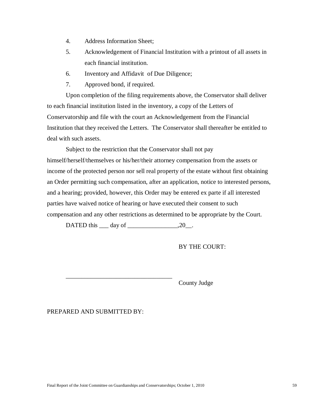- 4. Address Information Sheet;
- 5. Acknowledgement of Financial Institution with a printout of all assets in each financial institution.
- 6. Inventory and Affidavit of Due Diligence;
- 7. Approved bond, if required.

Upon completion of the filing requirements above, the Conservator shall deliver to each financial institution listed in the inventory, a copy of the Letters of Conservatorship and file with the court an Acknowledgement from the Financial Institution that they received the Letters. The Conservator shall thereafter be entitled to deal with such assets.

Subject to the restriction that the Conservator shall not pay himself/herself/themselves or his/her/their attorney compensation from the assets or income of the protected person nor sell real property of the estate without first obtaining an Order permitting such compensation, after an application, notice to interested persons, and a hearing; provided, however, this Order may be entered ex parte if all interested parties have waived notice of hearing or have executed their consent to such compensation and any other restrictions as determined to be appropriate by the Court.

DATED this  $\rule{1em}{0.15mm}$  day of  $\rule{1em}{0.15mm}$   $\rule{1.5mm}{0.15mm}$ .

BY THE COURT:

\_\_\_\_\_\_\_\_\_\_\_\_\_\_\_\_\_\_\_\_\_\_\_\_\_\_\_\_\_\_\_\_\_\_ County Judge

PREPARED AND SUBMITTED BY: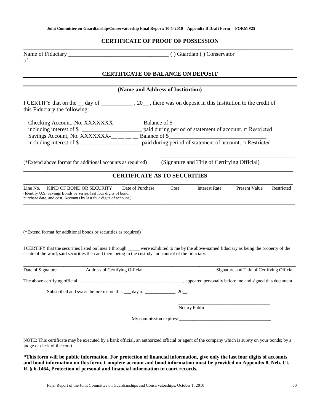#### **CERTIFICATE OF PROOF OF POSSESSION**

\_\_\_\_\_\_\_\_\_\_\_\_\_\_\_\_\_\_\_\_\_\_\_\_\_\_\_\_\_\_\_\_\_\_\_\_\_\_\_\_\_\_\_\_\_\_\_\_\_\_\_\_\_\_\_\_\_\_\_\_\_\_\_\_\_\_\_\_\_\_\_\_\_\_\_\_\_\_\_\_\_\_\_\_\_\_\_\_\_\_\_\_\_\_ of \_\_\_\_\_\_\_\_\_\_\_\_\_\_\_\_\_\_\_\_\_\_\_\_\_\_\_\_\_\_\_\_\_\_\_\_\_\_\_\_\_\_\_\_\_\_\_\_\_\_\_\_\_\_\_\_\_\_\_\_\_\_\_\_\_\_\_\_\_\_\_\_\_\_

Name of Fiduciary \_\_\_\_\_\_\_\_\_\_\_\_\_\_\_\_\_\_\_\_\_\_\_\_\_\_\_\_\_\_\_\_\_\_\_ ( ) Guardian ( ) Conservator

#### **CERTIFICATE OF BALANCE ON DEPOSIT**

|                                                                                                                                                                                                     | (Name and Address of Institution)                                                                                                      |
|-----------------------------------------------------------------------------------------------------------------------------------------------------------------------------------------------------|----------------------------------------------------------------------------------------------------------------------------------------|
| I CERTIFY that on the __ day of _____________, 20___, there was on deposit in this Institution to the credit of<br>this Fiduciary the following:                                                    |                                                                                                                                        |
|                                                                                                                                                                                                     |                                                                                                                                        |
| (*Extend above format for additional accounts as required)                                                                                                                                          | (Signature and Title of Certifying Official)                                                                                           |
|                                                                                                                                                                                                     | <b>CERTIFICATE AS TO SECURITIES</b>                                                                                                    |
| Line No.<br>KIND OF BOND OR SECURITY<br>Date of Purchase<br>(Identify U.S. Savings Bonds by series, last four digits of bond,<br>purchase date, and cost. Accounts by last four digits of account.) | Cost<br><b>Interest Rate</b><br><b>Present Value</b><br>Restricted                                                                     |
| (*Extend format for additional bonds or securities as required)                                                                                                                                     |                                                                                                                                        |
|                                                                                                                                                                                                     |                                                                                                                                        |
| estate of the ward, said securities then and there being in the custody and control of the fiduciary.                                                                                               | I CERTIFY that the securities listed on lines 1 through were exhibited to me by the above-named fiduciary as being the property of the |
| Address of Certifying Official                                                                                                                                                                      |                                                                                                                                        |
| Date of Signature                                                                                                                                                                                   | Signature and Title of Certifying Official                                                                                             |
| Subscribed and sworn before me on this <u>equal</u> day of <u>equal that</u> , 20.                                                                                                                  |                                                                                                                                        |
|                                                                                                                                                                                                     | Notary Public                                                                                                                          |

NOTE: This certificate may be executed by a bank official, an authorized official or agent of the company which is surety on your bonds; by a judge or clerk of the court.

**\*This form will be public information. For protection of financial information, give only the last four digits of accounts and bond information on this form. Complete account and bond information must be provided on Appendix 8, Neb. Ct. R. § 6-1464, Protection of personal and financial information in court records.**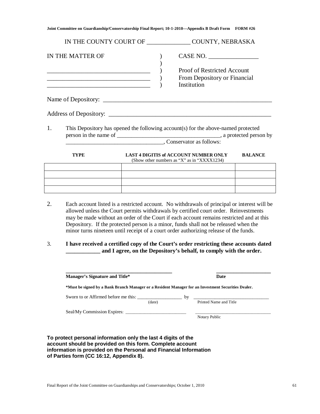|    |                  |  | IN THE COUNTY COURT OF ________________ COUNTY, NEBRASKA                                                                                                                                                                                                                                                                                                                                                                                                          |                |
|----|------------------|--|-------------------------------------------------------------------------------------------------------------------------------------------------------------------------------------------------------------------------------------------------------------------------------------------------------------------------------------------------------------------------------------------------------------------------------------------------------------------|----------------|
|    | IN THE MATTER OF |  | CASE NO.<br>Proof of Restricted Account<br>From Depository or Financial<br>Institution                                                                                                                                                                                                                                                                                                                                                                            |                |
|    |                  |  |                                                                                                                                                                                                                                                                                                                                                                                                                                                                   |                |
|    |                  |  |                                                                                                                                                                                                                                                                                                                                                                                                                                                                   |                |
| 1. |                  |  | This Depository has opened the following account(s) for the above-named protected                                                                                                                                                                                                                                                                                                                                                                                 |                |
|    | <b>TYPE</b>      |  | <b>LAST 4 DIGITIS of ACCOUNT NUMBER ONLY</b><br>(Show other numbers as "X" as in "XXXX1234)                                                                                                                                                                                                                                                                                                                                                                       | <b>BALANCE</b> |
|    |                  |  |                                                                                                                                                                                                                                                                                                                                                                                                                                                                   |                |
|    |                  |  |                                                                                                                                                                                                                                                                                                                                                                                                                                                                   |                |
|    |                  |  |                                                                                                                                                                                                                                                                                                                                                                                                                                                                   |                |
| 2. |                  |  | Each account listed is a restricted account. No withdrawals of principal or interest will be<br>allowed unless the Court permits withdrawals by certified court order. Reinvestments<br>may be made without an order of the Court if each account remains restricted and at this<br>Depository. If the protected person is a minor, funds shall not be released when the<br>minor turns nineteen until receipt of a court order authorizing release of the funds. |                |
| 3. |                  |  | I have received a certified copy of the Court's order restricting these accounts dated<br>and I agree, on the Depository's behalf, to comply with the order.                                                                                                                                                                                                                                                                                                      |                |

| <b>Manager's Signature and Title*</b>                                                               |        |    | <b>Date</b>            |
|-----------------------------------------------------------------------------------------------------|--------|----|------------------------|
| *Must be signed by a Bank Branch Manager or a Resident Manager for an Investment Securities Dealer. |        |    |                        |
| Sworn to or Affirmed before me this:                                                                |        | by |                        |
|                                                                                                     | (date) |    | Printed Name and Title |
| Seal/My Commission Expires:                                                                         |        |    |                        |
|                                                                                                     |        |    | Notary Public          |

**To protect personal information only the last 4 digits of the account should be provided on this form. Complete account information is provided on the Personal and Financial Information of Parties form (CC 16:12, Appendix 8).**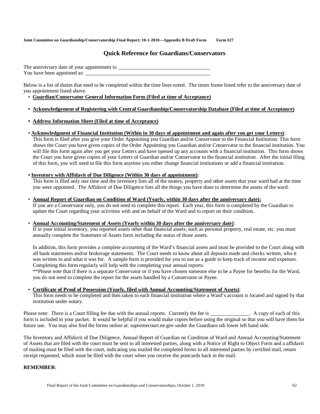## **Quick Reference for Guardians/Conservators**

The anniversary date of your appointment is: \_\_\_\_\_\_\_\_\_\_\_\_\_\_\_\_\_\_\_\_\_\_\_\_\_\_\_\_\_\_\_\_\_\_\_ You have been appointed as:

Below is a list of duties that need to be completed within the time lines noted. The times frame listed refer to the anniversary date of you appointment listed above.

- **Guardian/Conservator General Information Form (Filed at time of Acceptance)**
- **Acknowledgement of Registering with Central Guardianship/Conservatorship Database (Filed at time of Acceptance)**
- **Address Information Sheet (Filed at time of Acceptance)**
- **Acknowledgment of Financial Institution (Within in 30 days of appointment and again after you get your Letters)**:

This form is filed after you give your Order Appointing you Guardian and/or Conservator to the Financial Institution. This form shows the Court you have given copies of the Order Appointing you Guardian and/or Conservator to the financial institution. You will file this form again after you get your Letters and have opened up any accounts with a financial institution. This form shows the Court you have given copies of your Letters of Guardian and/or Conservator to the financial institution. After the initial filing of this form, you will need to file this form anytime you either change financial institutions or add a financial institution.

#### **• Inventory with Affidavit of Due Diligence (Within 30 days of appointment)**:

This form is filed only one time and the inventory lists all of the money, property and other assets that your ward had at the time you were appointed. The Affidavit of Due Diligence lists all the things you have done to determine the assets of the ward.

• **Annual Report of Guardian on Condition of Ward (Yearly, within 30 days after the anniversary date):** 

If you are a Conservator only, you do not need to complete this report. Each year, this form is completed by the Guardian to update the Court regarding your activities with and on behalf of the Ward and to report on their condition.

#### • **Annual Accounting/Statement of Assets (Yearly within 30 days after the anniversary date)**:

If in your initial inventory, you reported assets other than financial assets, such as personal property, real estate, etc. you must annually complete the Statement of Assets form including the status of those assets.

In addition, this form provides a complete accounting of the Ward's financial assets and must be provided to the Court along with all bank statements and/or brokerage statements. The Court needs to know about all deposits made and checks written, who it was written to and what it was for. A sample form is provided for you to use as a guide to keep track of income and expenses. Completing this form regularly will help with the completing your annual reports.

\*\*Please note that if there is a separate Conservator or if you have chosen someone else to be a Payee for benefits for the Ward, you do not need to complete the report for the assets handled by a Conservator or Payee.

• **Certificate of Proof of Possession (Yearly, filed with Annual Accounting/Statement of Assets)**:

This form needs to be completed and then taken to each financial institution where a Ward's account is located and signed by that institution under notary.

Please note: There is a Court filling fee due with the annual reports. Currently the fee is \_\_\_\_\_\_\_\_\_\_\_\_\_. A copy of each of this form is included in your packet. It would be helpful if you would make copies before using the original so that you will have them for future use. You may also find the forms online at: supremecourt.ne.gov under the Guardians tab lower left hand side.

The Inventory and Affidavit of Due Diligence, Annual Report of Guardian on Condition of Ward and Annual Accounting/Statement of Assets that are filed with the court must be sent to all interested parties, along with a Notice of Right to Object Form and a affidavit of mailing must be filed with the court, indicating you mailed the completed forms to all interested parties by certified mail, return receipt requested, which must be filed with the court when you receive the postcards back in the mail.

#### **REMEMBER**: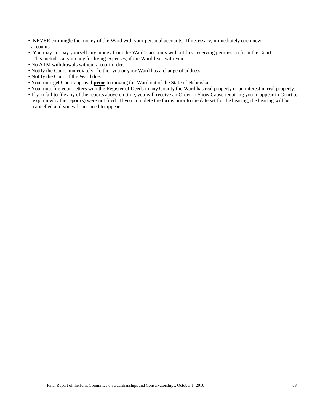- NEVER co-mingle the money of the Ward with your personal accounts. If necessary, immediately open new accounts.
- You may not pay yourself any money from the Ward's accounts without first receiving permission from the Court. This includes any money for living expenses, if the Ward lives with you.
- No ATM withdrawals without a court order.
- Notify the Court immediately if either you or your Ward has a change of address.
- Notify the Court if the Ward dies.
- You must get Court approval **prior** to moving the Ward out of the State of Nebraska.
- You must file your Letters with the Register of Deeds in any County the Ward has real property or an interest in real property.
- If you fail to file any of the reports above on time, you will receive an Order to Show Cause requiring you to appear in Court to explain why the report(s) were not filed. If you complete the forms prior to the date set for the hearing, the hearing will be cancelled and you will not need to appear.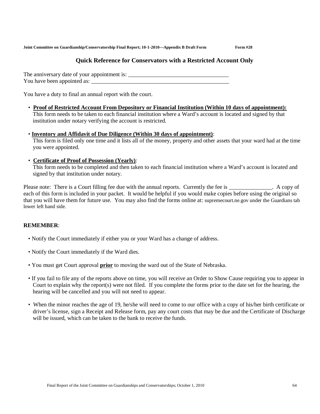## **Quick Reference for Conservators with a Restricted Account Only**

The anniversary date of your appointment is: \_\_\_\_\_\_\_\_\_\_\_\_\_\_\_\_\_\_\_\_\_\_\_\_\_\_\_\_\_\_\_\_\_\_\_ You have been appointed as:

You have a duty to final an annual report with the court.

• **Proof of Restricted Account From Depository or Financial Institution (Within 10 days of appointment):** This form needs to be taken to each financial institution where a Ward's account is located and signed by that institution under notary verifying the account is restricted.

#### • **Inventory and Affidavit of Due Diligence (Within 30 days of appointment)**:

This form is filed only one time and it lists all of the money, property and other assets that your ward had at the time you were appointed.

#### • **Certificate of Proof of Possession (Yearly)**:

This form needs to be completed and then taken to each financial institution where a Ward's account is located and signed by that institution under notary.

Please note: There is a Court filling fee due with the annual reports. Currently the fee is \_\_\_\_\_\_\_\_\_\_\_\_. A copy of each of this form is included in your packet. It would be helpful if you would make copies before using the original so that you will have them for future use. You may also find the forms online at: supremecourt.ne.gov under the Guardians tab lower left hand side.

### **REMEMBER**:

- Notify the Court immediately if either you or your Ward has a change of address.
- Notify the Court immediately if the Ward dies.
- You must get Court approval **prior** to moving the ward out of the State of Nebraska.
- If you fail to file any of the reports above on time, you will receive an Order to Show Cause requiring you to appear in Court to explain why the report(s) were not filed. If you complete the forms prior to the date set for the hearing, the hearing will be cancelled and you will not need to appear.
- When the minor reaches the age of 19, he/she will need to come to our office with a copy of his/her birth certificate or driver's license, sign a Receipt and Release form, pay any court costs that may be due and the Certificate of Discharge will be issued, which can be taken to the bank to receive the funds.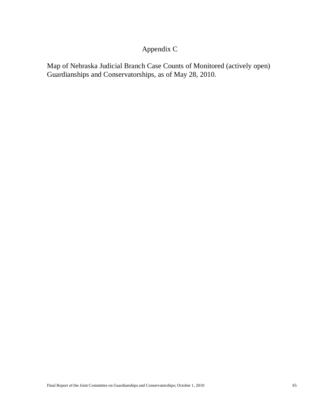## Appendix C

Map of Nebraska Judicial Branch Case Counts of Monitored (actively open) Guardianships and Conservatorships, as of May 28, 2010.